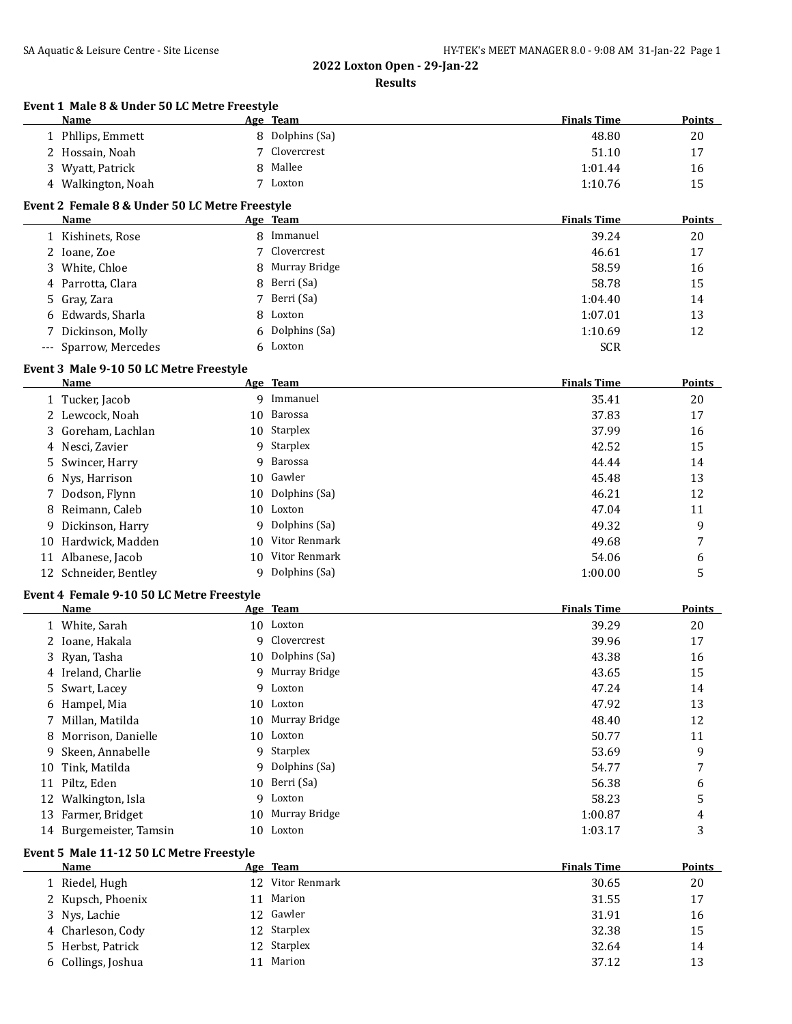| Event 1 Male 8 & Under 50 LC Metre Freestyle<br>Name |    | Age Team                      | <b>Finals Time</b> | <b>Points</b> |
|------------------------------------------------------|----|-------------------------------|--------------------|---------------|
| 1 Phllips, Emmett                                    |    | 8 Dolphins (Sa)               | 48.80              | 20            |
| 2 Hossain, Noah                                      |    | Clovercrest                   | 51.10              | 17            |
| 3 Wyatt, Patrick                                     | 8  | Mallee                        | 1:01.44            | 16            |
| 4 Walkington, Noah                                   |    | 7 Loxton                      | 1:10.76            | 15            |
| Event 2 Female 8 & Under 50 LC Metre Freestyle       |    |                               |                    |               |
| Name                                                 |    | Age Team                      | <b>Finals Time</b> | <b>Points</b> |
| 1 Kishinets, Rose                                    |    | 8 Immanuel                    | 39.24              | 20            |
| 2 Ioane, Zoe                                         | 7  | Clovercrest                   | 46.61              | 17            |
| 3 White, Chloe                                       |    | 8 Murray Bridge               | 58.59              | 16            |
| 4 Parrotta, Clara                                    | 8  | Berri (Sa)                    | 58.78              | 15            |
| Gray, Zara<br>5.                                     |    | 7 Berri (Sa)                  | 1:04.40            | 14            |
| 6 Edwards, Sharla                                    | 8  | Loxton                        | 1:07.01            | 13            |
| Dickinson, Molly                                     | 6  | Dolphins (Sa)                 | 1:10.69            | 12            |
| --- Sparrow, Mercedes                                |    | 6 Loxton                      | <b>SCR</b>         |               |
| Event 3 Male 9-10 50 LC Metre Freestyle<br>Name      |    | Age Team                      | <b>Finals Time</b> | <b>Points</b> |
| 1 Tucker, Jacob                                      |    | 9 Immanuel                    | 35.41              | 20            |
| 2 Lewcock, Noah                                      |    | 10 Barossa                    | 37.83              | 17            |
| 3 Goreham, Lachlan                                   |    | 10 Starplex                   | 37.99              | 16            |
| 4 Nesci, Zavier                                      |    | 9 Starplex                    | 42.52              | 15            |
| Swincer, Harry<br>5                                  | 9  | Barossa                       | 44.44              | 14            |
| Nys, Harrison<br>6                                   | 10 | Gawler                        | 45.48              | 13            |
| 7 Dodson, Flynn                                      | 10 | Dolphins (Sa)                 | 46.21              | 12            |
| 8 Reimann, Caleb                                     |    | 10 Loxton                     | 47.04              | 11            |
| Dickinson, Harry<br>9.                               |    | 9 Dolphins (Sa)               | 49.32              | 9             |
| 10 Hardwick, Madden                                  | 10 | Vitor Renmark                 | 49.68              | 7             |
| 11 Albanese, Jacob                                   |    | 10 Vitor Renmark              | 54.06              | 6             |
| 12 Schneider, Bentley                                |    | 9 Dolphins (Sa)               | 1:00.00            | 5             |
| Event 4 Female 9-10 50 LC Metre Freestyle            |    |                               |                    |               |
| Name                                                 |    | Age Team                      | <b>Finals Time</b> | <b>Points</b> |
| 1 White, Sarah                                       |    | 10 Loxton                     | 39.29              | 20            |
| 2 Ioane, Hakala                                      | 9  | Clovercrest                   | 39.96              | 17            |
| 3 Ryan, Tasha                                        | 10 | Dolphins (Sa)                 | 43.38              | 16            |
| 4 Ireland, Charlie                                   |    | 9 Murray Bridge               | 43.65              | 15            |
| 5 Swart, Lacey                                       |    | 9 Loxton                      | 47.24              | 14            |
| 6 Hampel, Mia                                        |    | 10 Loxton                     | 47.92              | 13            |
| Millan, Matilda<br>7                                 |    | 10 Murray Bridge              | 48.40              | 12            |
| Morrison, Danielle<br>8                              |    | 10 Loxton                     | 50.77              | 11            |
| Skeen, Annabelle<br>9.                               |    | 9 Starplex                    | 53.69              | 9             |
| Tink, Matilda<br>10                                  |    | 9 Dolphins (Sa)               | 54.77              | 7             |
| 11 Piltz, Eden                                       |    | 10 Berri (Sa)                 | 56.38              | 6             |
| 12 Walkington, Isla                                  |    | 9 Loxton                      | 58.23              | 5             |
| 13 Farmer, Bridget<br>14 Burgemeister, Tamsin        |    | 10 Murray Bridge<br>10 Loxton | 1:00.87<br>1:03.17 | 4<br>3        |
|                                                      |    |                               |                    |               |
| Event 5 Male 11-12 50 LC Metre Freestyle<br>Name     |    | Age Team                      | <b>Finals Time</b> | <u>Points</u> |
| 1 Riedel, Hugh                                       |    | 12 Vitor Renmark              | 30.65              | 20            |
| 2 Kupsch, Phoenix                                    |    | 11 Marion                     | 31.55              | 17            |
| 3 Nys, Lachie                                        |    | 12 Gawler                     | 31.91              | 16            |
| 4 Charleson, Cody                                    |    | 12 Starplex                   | 32.38              | 15            |
| Herbst, Patrick<br>5.                                |    | 12 Starplex                   | 32.64              | 14            |
| 6 Collings, Joshua                                   |    | 11 Marion                     | 37.12              | 13            |
|                                                      |    |                               |                    |               |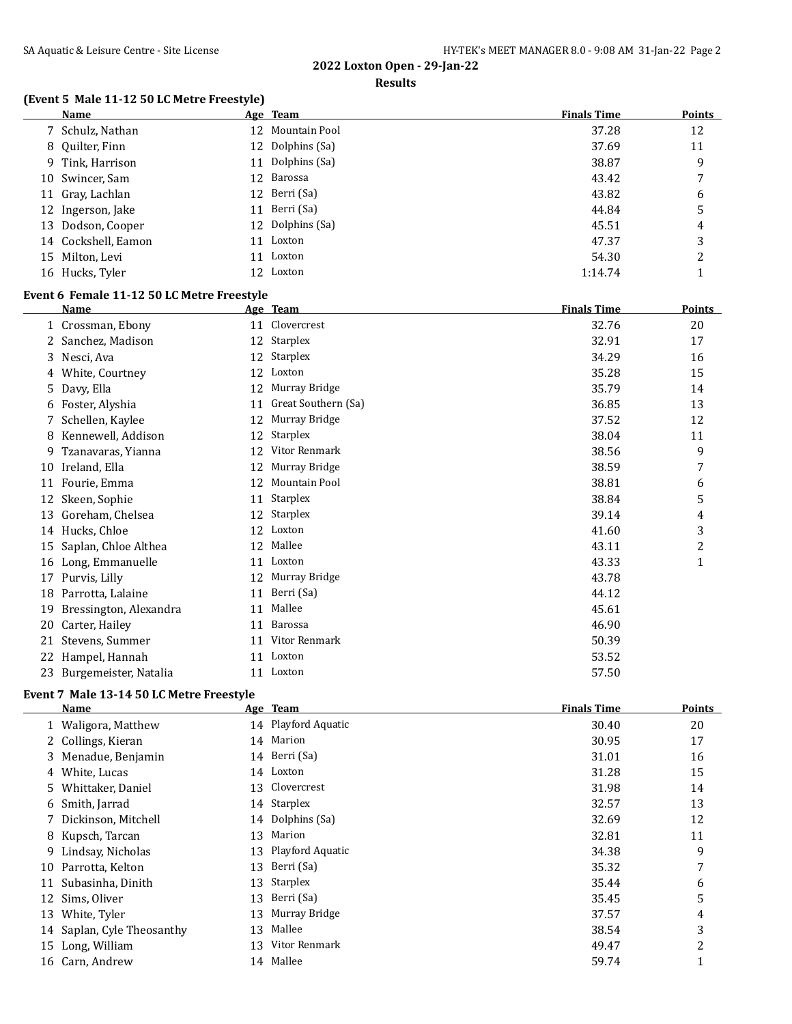#### **Results**

## **(Event 5 Male 11-12 50 LC Metre Freestyle)**

|    | <b>Name</b>                                |    | Age Team             | <b>Finals Time</b> | <b>Points</b> |
|----|--------------------------------------------|----|----------------------|--------------------|---------------|
|    | 7 Schulz, Nathan                           | 12 | Mountain Pool        | 37.28              | 12            |
| 8  | Quilter, Finn                              | 12 | Dolphins (Sa)        | 37.69              | 11            |
| 9. | Tink, Harrison                             | 11 | Dolphins (Sa)        | 38.87              | 9             |
| 10 | Swincer, Sam                               | 12 | Barossa              | 43.42              | 7             |
| 11 | Gray, Lachlan                              | 12 | Berri (Sa)           | 43.82              | 6             |
| 12 | Ingerson, Jake                             | 11 | Berri (Sa)           | 44.84              | 5             |
| 13 | Dodson, Cooper                             | 12 | Dolphins (Sa)        | 45.51              | 4             |
|    | 14 Cockshell, Eamon                        | 11 | Loxton               | 47.37              | 3             |
|    | 15 Milton, Levi                            |    | 11 Loxton            | 54.30              | 2             |
|    | 16 Hucks, Tyler                            |    | 12 Loxton            | 1:14.74            | 1             |
|    | Event 6 Female 11-12 50 LC Metre Freestyle |    |                      |                    |               |
|    | Name                                       |    | Age Team             | <b>Finals Time</b> | <b>Points</b> |
|    | 1 Crossman, Ebony                          |    | 11 Clovercrest       | 32.76              | 20            |
|    | 2 Sanchez, Madison                         |    | 12 Starplex          | 32.91              | 17            |
|    | 3 Nesci, Ava                               |    | 12 Starplex          | 34.29              | 16            |
|    | 4 White, Courtney                          |    | 12 Loxton            | 35.28              | 15            |
| 5. | Davy, Ella                                 | 12 | Murray Bridge        | 35.79              | 14            |
|    | 6 Foster, Alyshia                          | 11 | Great Southern (Sa)  | 36.85              | 13            |
|    | 7 Schellen, Kaylee                         | 12 | Murray Bridge        | 37.52              | 12            |
|    | 8 Kennewell, Addison                       | 12 | Starplex             | 38.04              | 11            |
| 9. | Tzanavaras, Yianna                         | 12 | Vitor Renmark        | 38.56              | 9             |
| 10 | Ireland, Ella                              | 12 | Murray Bridge        | 38.59              | 7             |
|    | 11 Fourie, Emma                            | 12 | <b>Mountain Pool</b> | 38.81              | 6             |
| 12 | Skeen, Sophie                              | 11 | Starplex             | 38.84              | 5             |
| 13 | Goreham, Chelsea                           | 12 | Starplex             | 39.14              | 4             |
|    | 14 Hucks, Chloe                            | 12 | Loxton               | 41.60              | 3             |
| 15 | Saplan, Chloe Althea                       |    | 12 Mallee            | 43.11              | 2             |
|    | 16 Long, Emmanuelle                        |    | 11 Loxton            | 43.33              | 1             |
|    | 17 Purvis, Lilly                           |    | 12 Murray Bridge     | 43.78              |               |
| 18 | Parrotta, Lalaine                          | 11 | Berri (Sa)           | 44.12              |               |
| 19 | Bressington, Alexandra                     | 11 | Mallee               | 45.61              |               |
| 20 | Carter, Hailey                             |    | 11 Barossa           | 46.90              |               |
|    | 21 Stevens, Summer                         |    | 11 Vitor Renmark     | 50.39              |               |
|    | 22 Hampel, Hannah                          |    | 11 Loxton            | 53.52              |               |
| 23 | Burgemeister, Natalia                      |    | 11 Loxton            | 57.50              |               |

## **Event 7 Male 13-14 50 LC Metre Freestyle**

|    | Name                       |    | Age Team            | <b>Finals Time</b> | <b>Points</b> |
|----|----------------------------|----|---------------------|--------------------|---------------|
|    | 1 Waligora, Matthew        |    | 14 Playford Aquatic | 30.40              | 20            |
|    | 2 Collings, Kieran         |    | 14 Marion           | 30.95              | 17            |
|    | 3 Menadue, Benjamin        |    | 14 Berri (Sa)       | 31.01              | 16            |
|    | 4 White, Lucas             |    | 14 Loxton           | 31.28              | 15            |
|    | 5 Whittaker, Daniel        |    | 13 Clovercrest      | 31.98              | 14            |
|    | 6 Smith, Jarrad            |    | 14 Starplex         | 32.57              | 13            |
|    | 7 Dickinson, Mitchell      |    | 14 Dolphins (Sa)    | 32.69              | 12            |
|    | 8 Kupsch, Tarcan           | 13 | Marion              | 32.81              | 11            |
| 9. | Lindsay, Nicholas          | 13 | Playford Aquatic    | 34.38              | 9             |
| 10 | Parrotta, Kelton           | 13 | Berri (Sa)          | 35.32              | 7             |
| 11 | Subasinha, Dinith          | 13 | Starplex            | 35.44              | 6             |
|    | 12 Sims, Oliver            | 13 | Berri (Sa)          | 35.45              | 5             |
| 13 | White, Tyler               | 13 | Murray Bridge       | 37.57              | 4             |
|    | 14 Saplan, Cyle Theosanthy | 13 | Mallee              | 38.54              | 3             |
| 15 | Long, William              | 13 | Vitor Renmark       | 49.47              | 2             |
|    | 16 Carn, Andrew            | 14 | Mallee              | 59.74              |               |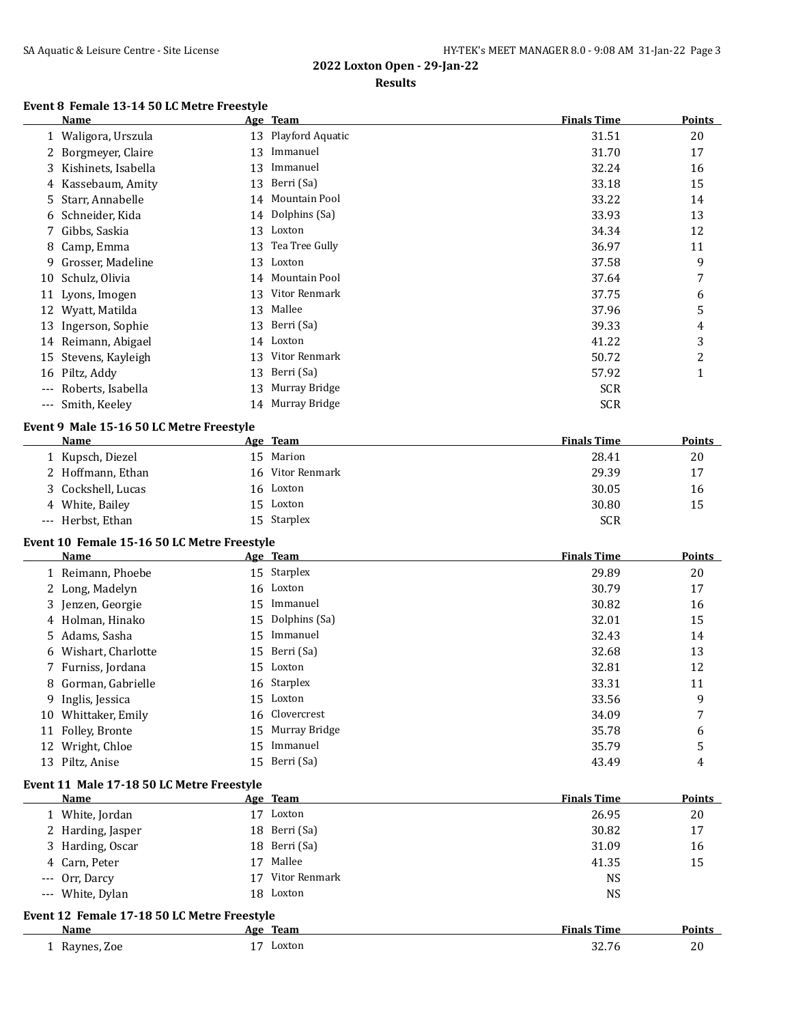#### **Results**

## **Event 8 Female 13-14 50 LC Metre Freestyle**

|    | <b>Name</b>                                 |    | Age Team         | <b>Finals Time</b> | Points        |
|----|---------------------------------------------|----|------------------|--------------------|---------------|
|    | 1 Waligora, Urszula                         | 13 | Playford Aquatic | 31.51              | 20            |
| 2  | Borgmeyer, Claire                           | 13 | Immanuel         | 31.70              | 17            |
| 3  | Kishinets, Isabella                         | 13 | Immanuel         | 32.24              | 16            |
| 4  | Kassebaum, Amity                            | 13 | Berri (Sa)       | 33.18              | 15            |
| 5  | Starr, Annabelle                            | 14 | Mountain Pool    | 33.22              | 14            |
| 6  | Schneider, Kida                             | 14 | Dolphins (Sa)    | 33.93              | 13            |
| 7  | Gibbs, Saskia                               |    | 13 Loxton        | 34.34              | 12            |
| 8  | Camp, Emma                                  | 13 | Tea Tree Gully   | 36.97              | 11            |
| 9  | Grosser, Madeline                           | 13 | Loxton           | 37.58              | 9             |
| 10 | Schulz, Olivia                              |    | 14 Mountain Pool | 37.64              | 7             |
|    | 11 Lyons, Imogen                            | 13 | Vitor Renmark    | 37.75              | 6             |
|    | 12 Wyatt, Matilda                           | 13 | Mallee           | 37.96              | 5             |
|    | 13 Ingerson, Sophie                         | 13 | Berri (Sa)       | 39.33              | 4             |
|    | 14 Reimann, Abigael                         | 14 | Loxton           | 41.22              | 3             |
|    | 15 Stevens, Kayleigh                        | 13 | Vitor Renmark    | 50.72              | 2             |
|    | 16 Piltz, Addy                              | 13 | Berri (Sa)       | 57.92              | $\mathbf{1}$  |
|    | --- Roberts, Isabella                       | 13 | Murray Bridge    | <b>SCR</b>         |               |
|    | --- Smith, Keeley                           | 14 | Murray Bridge    | <b>SCR</b>         |               |
|    | Event 9 Male 15-16 50 LC Metre Freestyle    |    |                  |                    |               |
|    | <b>Name</b>                                 |    | Age Team         | <b>Finals Time</b> | Points        |
|    | 1 Kupsch, Diezel                            |    | 15 Marion        | 28.41              | 20            |
|    | 2 Hoffmann, Ethan                           | 16 | Vitor Renmark    | 29.39              | 17            |
|    | 3 Cockshell, Lucas                          |    | 16 Loxton        | 30.05              | 16            |
|    | 4 White, Bailey                             |    | 15 Loxton        | 30.80              | 15            |
|    | --- Herbst, Ethan                           |    | 15 Starplex      | <b>SCR</b>         |               |
|    | Event 10 Female 15-16 50 LC Metre Freestyle |    |                  |                    |               |
|    | <u>Name</u>                                 |    | Age Team         | <b>Finals Time</b> | <b>Points</b> |
|    | 1 Reimann, Phoebe                           |    | 15 Starplex      | 29.89              | 20            |
|    | 2 Long, Madelyn                             |    | 16 Loxton        | 30.79              | 17            |
| 3  | Jenzen, Georgie                             |    | 15 Immanuel      | 30.82              | 16            |
|    | 4 Holman, Hinako                            | 15 | Dolphins (Sa)    | 32.01              | 15            |
| 5  | Adams, Sasha                                | 15 | Immanuel         | 32.43              | 14            |
| 6  | Wishart, Charlotte                          | 15 | Berri (Sa)       | 32.68              | 13            |
| 7  | Furniss, Jordana                            | 15 | Loxton           | 32.81              | 12            |
| 8  | Gorman, Gabrielle                           | 16 | Starplex         | 33.31              | 11            |
| 9  | Inglis, Jessica                             | 15 | Loxton           | 33.56              | 9             |
|    |                                             |    | Clovercrest      |                    | 7             |
|    | 10 Whittaker, Emily                         | 16 |                  | 34.09              |               |
|    | 11 Folley, Bronte                           | 15 | Murray Bridge    | 35.78              | 6             |

#### **Event 11 Male 17-18 50 LC Metre Freestyle**

| Name                                        | <u>Age Team</u> | <b>Finals Time</b> | <b>Points</b> |
|---------------------------------------------|-----------------|--------------------|---------------|
| 1 White, Jordan                             | Loxton          | 26.95              | 20            |
| 2 Harding, Jasper                           | 18 Berri (Sa)   | 30.82              | 17            |
| 3 Harding, Oscar                            | 18 Berri (Sa)   | 31.09              | 16            |
| 4 Carn, Peter                               | Mallee<br>17    | 41.35              | 15            |
| --- Orr, Darcy                              | Vitor Renmark   | <b>NS</b>          |               |
| --- White, Dylan                            | 18 Loxton       | NS                 |               |
| Event 12 Female 17-18 50 LC Metre Freestyle |                 |                    |               |
| Name                                        | Age Team        | <b>Finals Time</b> | Points        |

13 Piltz, Anise 15 Berri (Sa) 43.49 4

| Name                            | лее         | .                                                      |             |
|---------------------------------|-------------|--------------------------------------------------------|-------------|
|                                 | теат        | -nme                                                   | om          |
| <b>Rav</b><br>Zoe<br>nor<br>. . | Loxton<br>- | $\sim$ $\sim$<br>$\sim$<br>$\epsilon$<br>$\sim$ $\sim$ | ີ<br>$\sim$ |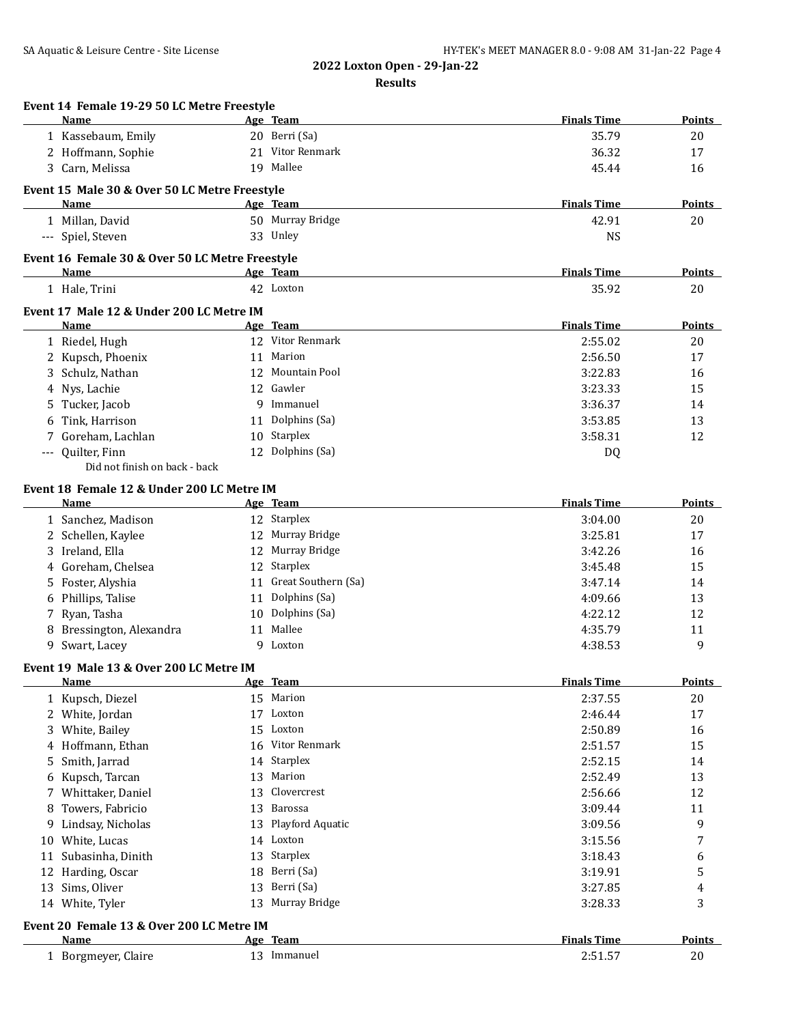|    | Event 14 Female 19-29 50 LC Metre Freestyle<br>Name |    | Age Team               | <b>Finals Time</b> | Points        |
|----|-----------------------------------------------------|----|------------------------|--------------------|---------------|
|    | 1 Kassebaum, Emily                                  |    | 20 Berri (Sa)          | 35.79              | 20            |
|    | 2 Hoffmann, Sophie                                  |    | 21 Vitor Renmark       | 36.32              | 17            |
|    | 3 Carn, Melissa                                     |    | 19 Mallee              | 45.44              | 16            |
|    | Event 15 Male 30 & Over 50 LC Metre Freestyle       |    |                        |                    |               |
|    | Name                                                |    | Age Team               | <b>Finals Time</b> | Points        |
|    | 1 Millan, David                                     |    | 50 Murray Bridge       | 42.91              | 20            |
|    | --- Spiel, Steven                                   |    | 33 Unley               | <b>NS</b>          |               |
|    | Event 16 Female 30 & Over 50 LC Metre Freestyle     |    |                        |                    |               |
|    | <b>Name</b>                                         |    | Age Team               | <b>Finals Time</b> | Points        |
|    | 1 Hale, Trini                                       |    | 42 Loxton              | 35.92              | 20            |
|    | Event 17 Male 12 & Under 200 LC Metre IM            |    |                        |                    |               |
|    | <b>Name</b>                                         |    | Age Team               | <b>Finals Time</b> | <b>Points</b> |
|    | 1 Riedel, Hugh                                      |    | 12 Vitor Renmark       | 2:55.02            | 20            |
|    | 2 Kupsch, Phoenix                                   |    | 11 Marion              | 2:56.50            | 17            |
|    | Schulz, Nathan                                      |    | 12 Mountain Pool       | 3:22.83            | 16            |
| 4  | Nys, Lachie                                         |    | 12 Gawler              | 3:23.33            | 15            |
| 5. | Tucker, Jacob                                       |    | 9 Immanuel             | 3:36.37            | 14            |
|    | Tink, Harrison                                      |    | 11 Dolphins (Sa)       | 3:53.85            | 13            |
| 7  | Goreham, Lachlan                                    | 10 | Starplex               | 3:58.31            | 12            |
|    | --- Quilter, Finn                                   | 12 | Dolphins (Sa)          | DQ                 |               |
|    | Did not finish on back - back                       |    |                        |                    |               |
|    | Event 18 Female 12 & Under 200 LC Metre IM          |    |                        |                    |               |
|    | <b>Name</b>                                         |    | Age Team               | <b>Finals Time</b> | <b>Points</b> |
|    | 1 Sanchez, Madison                                  |    | 12 Starplex            | 3:04.00            | 20            |
|    | 2 Schellen, Kaylee                                  |    | 12 Murray Bridge       | 3:25.81            | 17            |
|    | 3 Ireland, Ella                                     |    | 12 Murray Bridge       | 3:42.26            | 16            |
| 4  | Goreham, Chelsea                                    |    | 12 Starplex            | 3:45.48            | 15            |
| 5. | Foster, Alyshia                                     |    | 11 Great Southern (Sa) | 3:47.14            | 14            |
| 6  | Phillips, Talise                                    | 11 | Dolphins (Sa)          | 4:09.66            | 13            |
|    | 7 Ryan, Tasha                                       | 10 | Dolphins (Sa)          | 4:22.12            | 12            |
| 8  | Bressington, Alexandra                              | 11 | Mallee                 | 4:35.79            | 11            |
|    | 9 Swart, Lacey                                      | 9  | Loxton                 | 4:38.53            | 9             |
|    | Event 19 Male 13 & Over 200 LC Metre IM             |    |                        |                    |               |
|    | Name                                                |    | Age Team               | <b>Finals Time</b> | Points        |
|    | 1 Kupsch, Diezel                                    | 15 | Marion                 | 2:37.55            | 20            |
|    | 2 White, Jordan                                     | 17 | Loxton                 | 2:46.44            | 17            |
| 3  | White, Bailey                                       | 15 | Loxton                 | 2:50.89            | 16            |
| 4  | Hoffmann, Ethan                                     | 16 | Vitor Renmark          | 2:51.57            | 15            |
| 5  | Smith, Jarrad                                       | 14 | Starplex               | 2:52.15            | 14            |
| 6  | Kupsch, Tarcan                                      | 13 | Marion                 | 2:52.49            | 13            |
| 7  | Whittaker, Daniel                                   | 13 | Clovercrest            | 2:56.66            | 12            |
| 8  | Towers, Fabricio                                    | 13 | Barossa                | 3:09.44            | 11            |
| 9  | Lindsay, Nicholas                                   | 13 | Playford Aquatic       | 3:09.56            | 9             |
| 10 | White, Lucas                                        | 14 | Loxton                 | 3:15.56            | 7             |
| 11 | Subasinha, Dinith                                   | 13 | Starplex               | 3:18.43            | 6             |
| 12 | Harding, Oscar                                      | 18 | Berri (Sa)             | 3:19.91            | 5             |
| 13 | Sims, Oliver                                        | 13 | Berri (Sa)             | 3:27.85            | 4             |
|    | 14 White, Tyler                                     | 13 | Murray Bridge          | 3:28.33            | 3             |
|    | Event 20 Female 13 & Over 200 LC Metre IM           |    |                        |                    |               |
|    | Name                                                |    | Age Team               | <b>Finals Time</b> | <b>Points</b> |
|    | 1 Borgmeyer, Claire                                 |    | 13 Immanuel            | 2:51.57            | 20            |
|    |                                                     |    |                        |                    |               |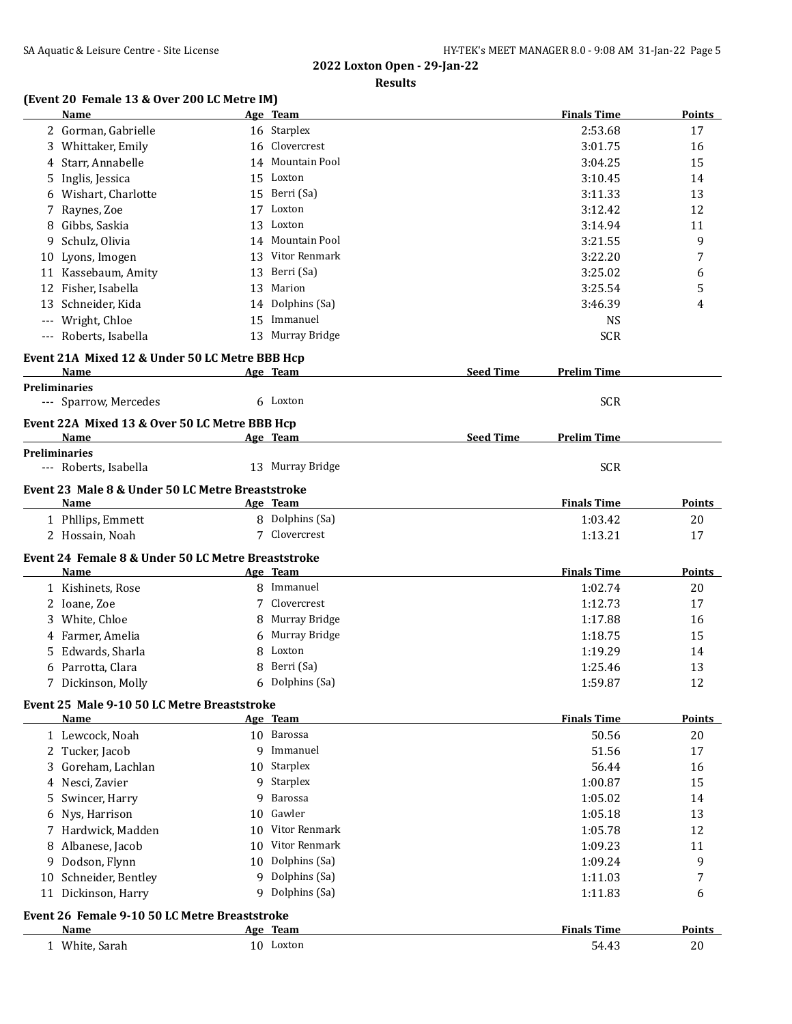#### **Results**

## **(Event 20 Female 13 & Over 200 LC Metre IM)**

|    | Name                                               |    | Age Team               |                  | <b>Finals Time</b> | <b>Points</b> |
|----|----------------------------------------------------|----|------------------------|------------------|--------------------|---------------|
|    | 2 Gorman, Gabrielle                                |    | 16 Starplex            |                  | 2:53.68            | 17            |
|    | 3 Whittaker, Emily                                 |    | 16 Clovercrest         |                  | 3:01.75            | 16            |
|    | 4 Starr, Annabelle                                 |    | 14 Mountain Pool       |                  | 3:04.25            | 15            |
|    | 5 Inglis, Jessica                                  |    | 15 Loxton              |                  | 3:10.45            | 14            |
|    | Wishart, Charlotte                                 |    | 15 Berri (Sa)          |                  | 3:11.33            | 13            |
| 7  | Raynes, Zoe                                        |    | 17 Loxton              |                  | 3:12.42            | 12            |
| 8  | Gibbs, Saskia                                      |    | 13 Loxton              |                  | 3:14.94            | 11            |
| 9  | Schulz, Olivia                                     | 14 | Mountain Pool          |                  | 3:21.55            | 9             |
|    | 10 Lyons, Imogen                                   | 13 | Vitor Renmark          |                  | 3:22.20            | 7             |
|    | 11 Kassebaum, Amity                                | 13 | Berri (Sa)             |                  | 3:25.02            | 6             |
| 12 | Fisher, Isabella                                   | 13 | Marion                 |                  | 3:25.54            | 5             |
| 13 | Schneider, Kida                                    | 14 | Dolphins (Sa)          |                  | 3:46.39            | 4             |
|    | Wright, Chloe                                      |    | 15 Immanuel            |                  | <b>NS</b>          |               |
|    | --- Roberts, Isabella                              |    | 13 Murray Bridge       |                  | <b>SCR</b>         |               |
|    |                                                    |    |                        |                  |                    |               |
|    | Event 21A Mixed 12 & Under 50 LC Metre BBB Hcp     |    |                        |                  |                    |               |
|    | Name                                               |    | Age Team               | <b>Seed Time</b> | <b>Prelim Time</b> |               |
|    | <b>Preliminaries</b>                               |    | 6 Loxton               |                  | <b>SCR</b>         |               |
|    | --- Sparrow, Mercedes                              |    |                        |                  |                    |               |
|    | Event 22A Mixed 13 & Over 50 LC Metre BBB Hcp      |    |                        |                  |                    |               |
|    | Name                                               |    | Age Team               | <b>Seed Time</b> | <b>Prelim Time</b> |               |
|    | <b>Preliminaries</b>                               |    | 13 Murray Bridge       |                  | <b>SCR</b>         |               |
|    | --- Roberts, Isabella                              |    |                        |                  |                    |               |
|    | Event 23 Male 8 & Under 50 LC Metre Breaststroke   |    |                        |                  |                    |               |
|    | Name                                               |    | Age Team               |                  | <b>Finals Time</b> | Points        |
|    | 1 Phllips, Emmett                                  |    | 8 Dolphins (Sa)        |                  | 1:03.42            | 20            |
|    | 2 Hossain, Noah                                    |    | 7 Clovercrest          |                  | 1:13.21            | 17            |
|    | Event 24 Female 8 & Under 50 LC Metre Breaststroke |    |                        |                  |                    |               |
|    | Name                                               |    | Age Team               |                  | <b>Finals Time</b> | Points        |
|    | 1 Kishinets, Rose                                  |    | 8 Immanuel             |                  | 1:02.74            | 20            |
|    | 2 Ioane, Zoe                                       | 7  | Clovercrest            |                  | 1:12.73            | 17            |
|    | 3 White, Chloe                                     | 8  | Murray Bridge          |                  | 1:17.88            | 16            |
|    | 4 Farmer, Amelia                                   | 6  | Murray Bridge          |                  | 1:18.75            | 15            |
| 5  | Edwards, Sharla                                    | 8  | Loxton                 |                  | 1:19.29            | 14            |
|    | 6 Parrotta, Clara                                  | 8  | Berri (Sa)             |                  | 1:25.46            | 13            |
|    | 7 Dickinson, Molly                                 | 6  | Dolphins (Sa)          |                  | 1:59.87            | 12            |
|    |                                                    |    |                        |                  |                    |               |
|    | Event 25 Male 9-10 50 LC Metre Breaststroke        |    |                        |                  | <b>Finals Time</b> | <b>Points</b> |
|    | Name                                               |    | Age Team<br>10 Barossa |                  | 50.56              |               |
|    | 1 Lewcock, Noah                                    |    | 9 Immanuel             |                  |                    | 20            |
|    | 2 Tucker, Jacob                                    |    |                        |                  | 51.56              | 17            |
|    | 3 Goreham, Lachlan                                 |    | 10 Starplex            |                  | 56.44              | 16            |
|    | 4 Nesci, Zavier                                    |    | 9 Starplex             |                  | 1:00.87            | 15            |
|    | 5 Swincer, Harry                                   | 9  | Barossa                |                  | 1:05.02            | 14            |
|    | 6 Nys, Harrison                                    | 10 | Gawler                 |                  | 1:05.18            | 13            |
|    | 7 Hardwick, Madden                                 |    | 10 Vitor Renmark       |                  | 1:05.78            | 12            |
|    | 8 Albanese, Jacob                                  |    | 10 Vitor Renmark       |                  | 1:09.23            | 11            |
| 9  | Dodson, Flynn                                      | 10 | Dolphins (Sa)          |                  | 1:09.24            | 9             |
|    | 10 Schneider, Bentley                              |    | 9 Dolphins (Sa)        |                  | 1:11.03            | 7             |
|    | 11 Dickinson, Harry                                |    | 9 Dolphins (Sa)        |                  | 1:11.83            | 6             |
|    | Event 26 Female 9-10 50 LC Metre Breaststroke      |    |                        |                  |                    |               |
|    | Name                                               |    | Age Team               |                  | <b>Finals Time</b> | <b>Points</b> |
|    | 1 White, Sarah                                     |    | 10 Loxton              |                  | 54.43              | 20            |
|    |                                                    |    |                        |                  |                    |               |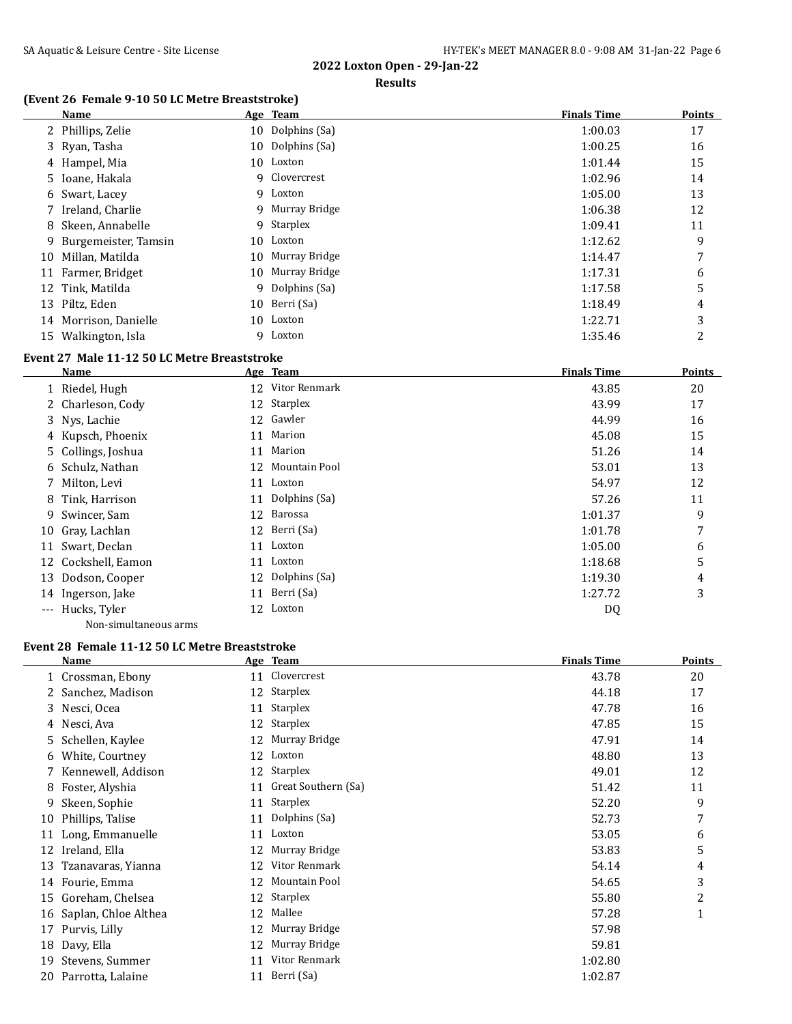#### **Results**

### **(Event 26 Female 9-10 50 LC Metre Breaststroke)**

|    | Name                 |    | Age Team         | <b>Finals Time</b> | <b>Points</b> |
|----|----------------------|----|------------------|--------------------|---------------|
|    | 2 Phillips, Zelie    |    | 10 Dolphins (Sa) | 1:00.03            | 17            |
|    | 3 Ryan, Tasha        |    | 10 Dolphins (Sa) | 1:00.25            | 16            |
|    | 4 Hampel, Mia        |    | 10 Loxton        | 1:01.44            | 15            |
|    | 5 Ioane, Hakala      | 9. | Clovercrest      | 1:02.96            | 14            |
|    | 6 Swart, Lacey       |    | 9 Loxton         | 1:05.00            | 13            |
|    | 7 Ireland, Charlie   |    | 9 Murray Bridge  | 1:06.38            | 12            |
|    | 8 Skeen, Annabelle   |    | 9 Starplex       | 1:09.41            | 11            |
| 9. | Burgemeister, Tamsin |    | 10 Loxton        | 1:12.62            | 9             |
| 10 | Millan, Matilda      |    | 10 Murray Bridge | 1:14.47            | 7             |
| 11 | Farmer, Bridget      |    | 10 Murray Bridge | 1:17.31            | 6             |
|    | 12 Tink, Matilda     | 9  | Dolphins (Sa)    | 1:17.58            | 5             |
|    | 13 Piltz, Eden       |    | 10 Berri (Sa)    | 1:18.49            | 4             |
| 14 | Morrison, Danielle   |    | 10 Loxton        | 1:22.71            | 3             |
|    | 15 Walkington, Isla  | 9  | Loxton           | 1:35.46            | 2             |

#### **Event 27 Male 11-12 50 LC Metre Breaststroke**

|          | Name                  |    | Age Team      | <b>Finals Time</b> | <b>Points</b> |
|----------|-----------------------|----|---------------|--------------------|---------------|
|          | 1 Riedel, Hugh        | 12 | Vitor Renmark | 43.85              | 20            |
|          | 2 Charleson, Cody     | 12 | Starplex      | 43.99              | 17            |
|          | 3 Nys, Lachie         | 12 | Gawler        | 44.99              | 16            |
|          | 4 Kupsch, Phoenix     | 11 | Marion        | 45.08              | 15            |
|          | 5 Collings, Joshua    | 11 | Marion        | 51.26              | 14            |
|          | 6 Schulz, Nathan      | 12 | Mountain Pool | 53.01              | 13            |
|          | 7 Milton, Levi        | 11 | Loxton        | 54.97              | 12            |
| 8        | Tink, Harrison        | 11 | Dolphins (Sa) | 57.26              | 11            |
| 9        | Swincer, Sam          | 12 | Barossa       | 1:01.37            | 9             |
| 10       | Gray, Lachlan         | 12 | Berri (Sa)    | 1:01.78            | 7             |
|          | 11 Swart, Declan      | 11 | Loxton        | 1:05.00            | 6             |
|          | 12 Cockshell, Eamon   | 11 | Loxton        | 1:18.68            | 5             |
| 13       | Dodson, Cooper        | 12 | Dolphins (Sa) | 1:19.30            | 4             |
|          | 14 Ingerson, Jake     | 11 | Berri (Sa)    | 1:27.72            | 3             |
| $\cdots$ | Hucks, Tyler          | 12 | Loxton        | DQ                 |               |
|          | Non-simultaneous arms |    |               |                    |               |

### **Event 28 Female 11-12 50 LC Metre Breaststroke**

|    | Name                 |    | Age Team            | <b>Finals Time</b> | Points |
|----|----------------------|----|---------------------|--------------------|--------|
|    | 1 Crossman, Ebony    | 11 | Clovercrest         | 43.78              | 20     |
| 2  | Sanchez, Madison     | 12 | Starplex            | 44.18              | 17     |
| 3. | Nesci, Ocea          | 11 | Starplex            | 47.78              | 16     |
|    | 4 Nesci, Ava         |    | 12 Starplex         | 47.85              | 15     |
| 5. | Schellen, Kaylee     | 12 | Murray Bridge       | 47.91              | 14     |
| 6  | White, Courtney      | 12 | Loxton              | 48.80              | 13     |
|    | Kennewell, Addison   | 12 | Starplex            | 49.01              | 12     |
| 8  | Foster, Alyshia      | 11 | Great Southern (Sa) | 51.42              | 11     |
| 9. | Skeen, Sophie        | 11 | Starplex            | 52.20              | 9      |
| 10 | Phillips, Talise     | 11 | Dolphins (Sa)       | 52.73              | 7      |
| 11 | Long, Emmanuelle     | 11 | Loxton              | 53.05              | 6      |
| 12 | Ireland, Ella        | 12 | Murray Bridge       | 53.83              | 5      |
| 13 | Tzanavaras, Yianna   | 12 | Vitor Renmark       | 54.14              | 4      |
| 14 | Fourie, Emma         | 12 | Mountain Pool       | 54.65              | 3      |
| 15 | Goreham, Chelsea     | 12 | Starplex            | 55.80              | 2      |
| 16 | Saplan, Chloe Althea | 12 | Mallee              | 57.28              | 1      |
| 17 | Purvis, Lilly        | 12 | Murray Bridge       | 57.98              |        |
| 18 | Davy, Ella           | 12 | Murray Bridge       | 59.81              |        |
| 19 | Stevens, Summer      | 11 | Vitor Renmark       | 1:02.80            |        |
|    | 20 Parrotta, Lalaine | 11 | Berri (Sa)          | 1:02.87            |        |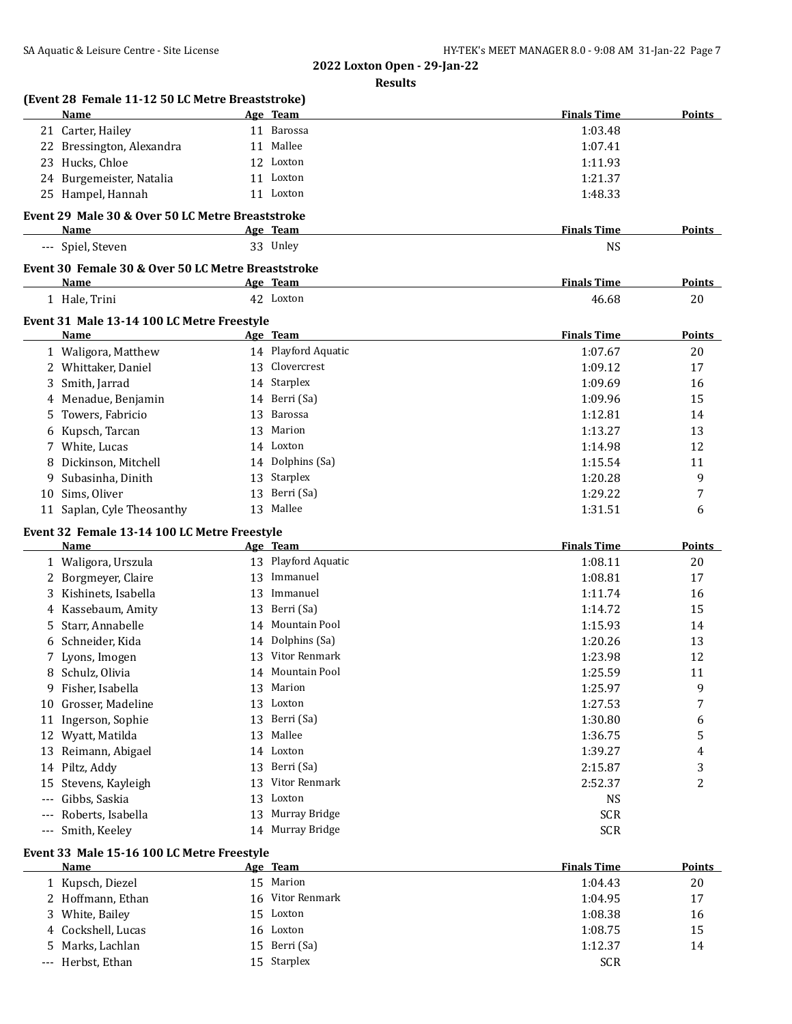|    | (Event 28 Female 11-12 50 LC Metre Breaststroke)<br>Name | Age Team            | <b>Finals Time</b> | <b>Points</b>       |
|----|----------------------------------------------------------|---------------------|--------------------|---------------------|
|    | 21 Carter, Hailey                                        | 11 Barossa          | 1:03.48            |                     |
|    | 22 Bressington, Alexandra                                | 11 Mallee           | 1:07.41            |                     |
|    | 23 Hucks, Chloe                                          | 12 Loxton           | 1:11.93            |                     |
|    | 24 Burgemeister, Natalia                                 | 11 Loxton           | 1:21.37            |                     |
|    | 25 Hampel, Hannah                                        | 11 Loxton           | 1:48.33            |                     |
|    |                                                          |                     |                    |                     |
|    | Event 29 Male 30 & Over 50 LC Metre Breaststroke         |                     |                    |                     |
|    | Name                                                     | Age Team            | <b>Finals Time</b> | <b>Points</b>       |
|    | --- Spiel, Steven                                        | 33 Unley            | <b>NS</b>          |                     |
|    | Event 30 Female 30 & Over 50 LC Metre Breaststroke       |                     |                    |                     |
|    | Name                                                     | Age Team            | <b>Finals Time</b> | Points              |
|    | 1 Hale, Trini                                            | 42 Loxton           | 46.68              | 20                  |
|    | Event 31 Male 13-14 100 LC Metre Freestyle               |                     |                    |                     |
|    | Name                                                     | <u>Age Team</u>     | <b>Finals Time</b> | <b>Points</b>       |
|    | 1 Waligora, Matthew                                      | 14 Playford Aquatic | 1:07.67            | 20                  |
|    | 2 Whittaker, Daniel                                      | 13 Clovercrest      | 1:09.12            | 17                  |
|    | 3 Smith, Jarrad                                          | 14 Starplex         | 1:09.69            | 16                  |
|    | 4 Menadue, Benjamin                                      | 14 Berri (Sa)       | 1:09.96            | 15                  |
| 5. | Towers, Fabricio                                         | 13 Barossa          | 1:12.81            | 14                  |
|    | 6 Kupsch, Tarcan                                         | 13 Marion           | 1:13.27            | 13                  |
|    | 7 White, Lucas                                           | 14 Loxton           | 1:14.98            | 12                  |
| 8  | Dickinson, Mitchell                                      | 14 Dolphins (Sa)    | 1:15.54            | 11                  |
| 9  | Subasinha, Dinith                                        | 13 Starplex         | 1:20.28            | 9                   |
| 10 | Sims, Oliver                                             | 13 Berri (Sa)       | 1:29.22            | 7                   |
|    | 11 Saplan, Cyle Theosanthy                               | 13 Mallee           | 1:31.51            | 6                   |
|    |                                                          |                     |                    |                     |
|    | Event 32 Female 13-14 100 LC Metre Freestyle             |                     |                    |                     |
|    | Name                                                     | Age Team            | <b>Finals Time</b> | <b>Points</b>       |
|    | 1 Waligora, Urszula                                      | 13 Playford Aquatic | 1:08.11            | 20                  |
|    | 2 Borgmeyer, Claire                                      | 13 Immanuel         | 1:08.81            | 17                  |
|    | 3 Kishinets, Isabella                                    | 13 Immanuel         | 1:11.74            | 16                  |
|    | 4 Kassebaum, Amity                                       | 13 Berri (Sa)       | 1:14.72            | 15                  |
| 5  | Starr, Annabelle                                         | 14 Mountain Pool    | 1:15.93            | 14                  |
|    | 6 Schneider, Kida                                        | 14 Dolphins (Sa)    | 1:20.26            | 13                  |
|    | 7 Lyons, Imogen                                          | 13 Vitor Renmark    | 1:23.98            | 12                  |
|    | 8 Schulz, Olivia                                         | 14 Mountain Pool    | 1:25.59            | 11                  |
|    | 9 Fisher, Isabella                                       | 13 Marion           | 1:25.97            | 9                   |
|    | 10 Grosser, Madeline                                     | 13 Loxton           | 1:27.53            | 7                   |
|    |                                                          |                     |                    |                     |
|    | 11 Ingerson, Sophie                                      | 13 Berri (Sa)       | 1:30.80            | 6                   |
|    | 12 Wyatt, Matilda                                        | 13 Mallee           | 1:36.75            | 5                   |
|    | 13 Reimann, Abigael                                      | 14 Loxton           | 1:39.27            | 4                   |
|    | 14 Piltz, Addy                                           | 13 Berri (Sa)       | 2:15.87            | 3                   |
|    | 15 Stevens, Kayleigh                                     | 13 Vitor Renmark    | 2:52.37            | 2                   |
|    | --- Gibbs, Saskia                                        | 13 Loxton           | NS                 |                     |
|    | --- Roberts, Isabella                                    | 13 Murray Bridge    | <b>SCR</b>         |                     |
|    | --- Smith, Keeley                                        | 14 Murray Bridge    | <b>SCR</b>         |                     |
|    |                                                          |                     |                    |                     |
|    | Event 33 Male 15-16 100 LC Metre Freestyle<br>Name       |                     |                    |                     |
|    |                                                          | Age Team            | <b>Finals Time</b> |                     |
|    | 1 Kupsch, Diezel                                         | 15 Marion           | 1:04.43            | 20                  |
|    | 2 Hoffmann, Ethan                                        | 16 Vitor Renmark    | 1:04.95            | 17                  |
| 3  | White, Bailey                                            | 15 Loxton           | 1:08.38            | <b>Points</b><br>16 |
| 4  | Cockshell, Lucas                                         | 16 Loxton           | 1:08.75            | 15<br>14            |
| 5. | Marks, Lachlan                                           | 15 Berri (Sa)       | 1:12.37            |                     |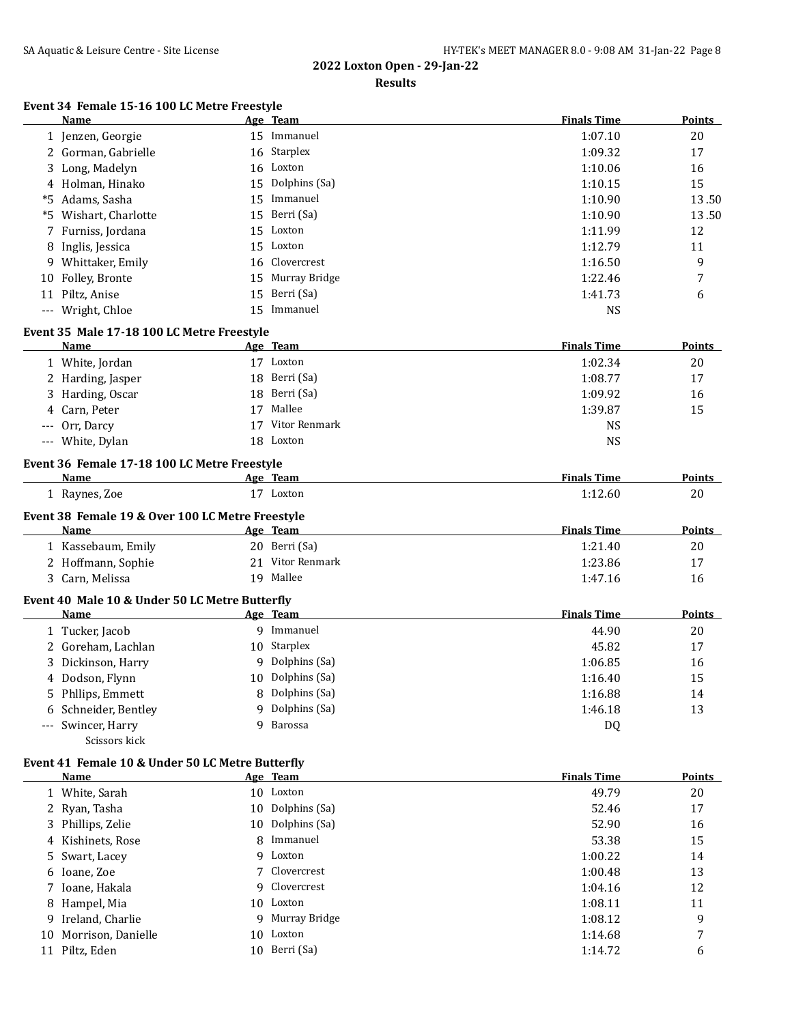**Results**

## **Event 34 Female 15-16 100 LC Metre Freestyle**

|    | Name                                                   |    | Age Team         | <b>Finals Time</b> | Points        |
|----|--------------------------------------------------------|----|------------------|--------------------|---------------|
|    | 1 Jenzen, Georgie                                      |    | 15 Immanuel      | 1:07.10            | 20            |
|    | 2 Gorman, Gabrielle                                    |    | 16 Starplex      | 1:09.32            | 17            |
| 3  | Long, Madelyn                                          |    | 16 Loxton        | 1:10.06            | 16            |
| 4  | Holman, Hinako                                         | 15 | Dolphins (Sa)    | 1:10.15            | 15            |
| *5 | Adams, Sasha                                           |    | 15 Immanuel      | 1:10.90            | 13.50         |
| *5 | Wishart, Charlotte                                     |    | 15 Berri (Sa)    | 1:10.90            | 13.50         |
| 7  | Furniss, Jordana                                       |    | 15 Loxton        | 1:11.99            | 12            |
| 8  | Inglis, Jessica                                        |    | 15 Loxton        | 1:12.79            | 11            |
|    | 9 Whittaker, Emily                                     |    | 16 Clovercrest   | 1:16.50            | 9             |
| 10 | Folley, Bronte                                         |    | 15 Murray Bridge | 1:22.46            | 7             |
|    | 11 Piltz, Anise                                        |    | 15 Berri (Sa)    | 1:41.73            | 6             |
|    | --- Wright, Chloe                                      |    | 15 Immanuel      | <b>NS</b>          |               |
|    | Event 35 Male 17-18 100 LC Metre Freestyle             |    |                  |                    |               |
|    | Name                                                   |    | Age Team         | <b>Finals Time</b> | <b>Points</b> |
|    | 1 White, Jordan                                        |    | 17 Loxton        | 1:02.34            | 20            |
|    | 2 Harding, Jasper                                      | 18 | Berri (Sa)       | 1:08.77            | 17            |
|    | Harding, Oscar                                         | 18 | Berri (Sa)       | 1:09.92            | 16            |
|    | Carn, Peter                                            | 17 | Mallee           | 1:39.87            | 15            |
|    | Orr, Darcy                                             |    | 17 Vitor Renmark | <b>NS</b>          |               |
|    | --- White, Dylan                                       |    | 18 Loxton        | <b>NS</b>          |               |
|    | Event 36 Female 17-18 100 LC Metre Freestyle           |    |                  |                    |               |
|    | Name                                                   |    | Age Team         | <b>Finals Time</b> | Points        |
|    | 1 Raynes, Zoe                                          |    | 17 Loxton        | 1:12.60            | 20            |
|    | Event 38 Female 19 & Over 100 LC Metre Freestyle       |    |                  |                    |               |
|    | <b>Name</b>                                            |    | Age Team         | <b>Finals Time</b> | <b>Points</b> |
|    | 1 Kassebaum, Emily                                     |    | 20 Berri (Sa)    | 1:21.40            | 20            |
|    | 2 Hoffmann, Sophie                                     |    | 21 Vitor Renmark | 1:23.86            | 17            |
|    | 3 Carn, Melissa                                        |    | 19 Mallee        | 1:47.16            | 16            |
|    |                                                        |    |                  |                    |               |
|    | Event 40 Male 10 & Under 50 LC Metre Butterfly<br>Name |    | Age Team         | <b>Finals Time</b> | <b>Points</b> |
|    | 1 Tucker, Jacob                                        |    | 9 Immanuel       | 44.90              | 20            |
| 2  | Goreham, Lachlan                                       |    | 10 Starplex      | 45.82              | 17            |
|    | Dickinson, Harry                                       | 9  | Dolphins (Sa)    | 1:06.85            | 16            |
|    | 4 Dodson, Flynn                                        |    | 10 Dolphins (Sa) | 1:16.40            | 15            |
| 5  | Phllips, Emmett                                        | 8  | Dolphins (Sa)    | 1:16.88            | 14            |
|    | Schneider, Bentley                                     | 9  | Dolphins (Sa)    | 1:46.18            | 13            |
|    | Swincer, Harry                                         | 9  | Barossa          | DQ                 |               |
|    | Scissors kick                                          |    |                  |                    |               |
|    | Event 41 Female 10 & Under 50 LC Metre Butterfly       |    |                  |                    |               |
|    | <b>Name</b>                                            |    | Age Team         | <b>Finals Time</b> | <b>Points</b> |
|    | 1 White, Sarah                                         |    | 10 Loxton        | 49.79              | 20            |
| 2  | Ryan, Tasha                                            | 10 | Dolphins (Sa)    | 52.46              | 17            |
| 3  | Phillips, Zelie                                        | 10 | Dolphins (Sa)    | 52.90              | 16            |
| 4  | Kishinets, Rose                                        | 8  | Immanuel         | 53.38              | 15            |
| 5  | Swart, Lacey                                           | 9  | Loxton           | 1:00.22            | 14            |
| 6  | Ioane, Zoe                                             |    | Clovercrest      | 1:00.48            | 13            |
| 7. | Ioane, Hakala                                          | 9  | Clovercrest      | 1:04.16            | 12            |
| 8  | Hampel, Mia                                            | 10 | Loxton           | 1:08.11            | 11            |
| 9  | Ireland, Charlie                                       |    | 9 Murray Bridge  | 1:08.12            | 9             |
|    | 10 Morrison, Danielle                                  |    | 10 Loxton        | 1:14.68            | 7             |

10 Morrison, Danielle 10 Loxton 1:14.68

11 Piltz, Eden 10 Berri (Sa) 1:14.72 6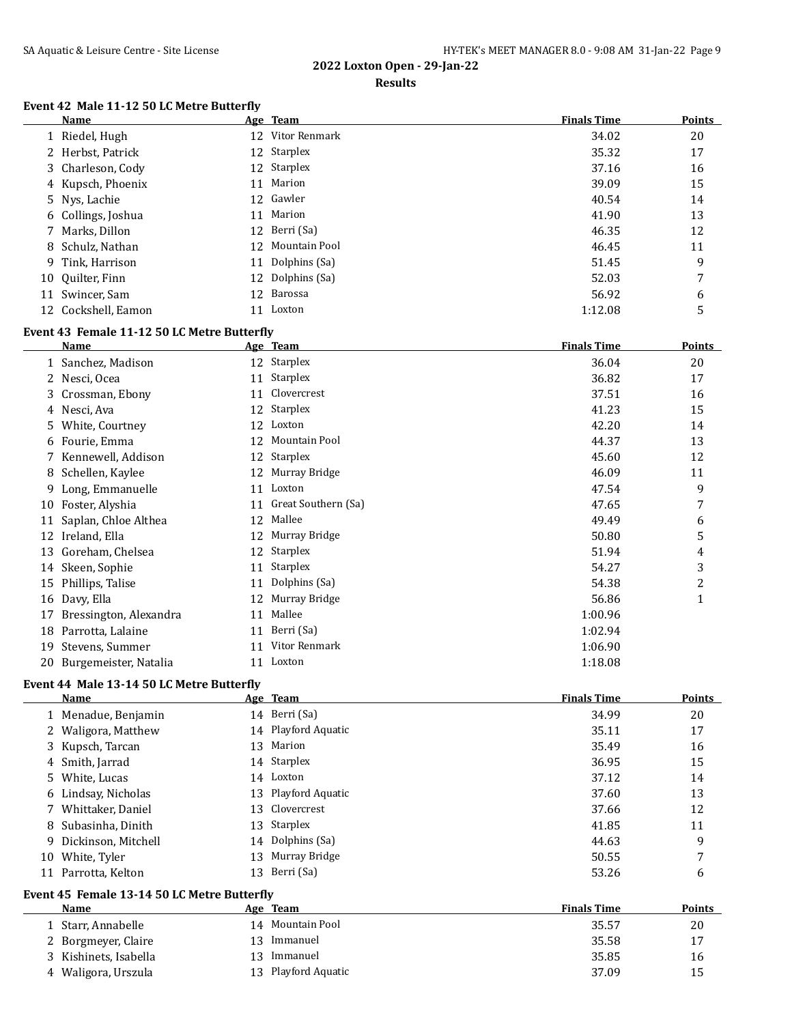#### **Results**

## **Event 42 Male 11-12 50 LC Metre Butterfly**

| Name                |    | Age Team         | <b>Finals Time</b> | <b>Points</b> |
|---------------------|----|------------------|--------------------|---------------|
| 1 Riedel, Hugh      |    | 12 Vitor Renmark | 34.02              | 20            |
| 2 Herbst, Patrick   |    | 12 Starplex      | 35.32              | 17            |
| 3 Charleson, Cody   |    | 12 Starplex      | 37.16              | 16            |
| 4 Kupsch, Phoenix   |    | 11 Marion        | 39.09              | 15            |
| 5 Nys, Lachie       |    | 12 Gawler        | 40.54              | 14            |
| 6 Collings, Joshua  |    | 11 Marion        | 41.90              | 13            |
| 7 Marks, Dillon     |    | 12 Berri (Sa)    | 46.35              | 12            |
| 8 Schulz, Nathan    |    | 12 Mountain Pool | 46.45              | 11            |
| 9 Tink, Harrison    | 11 | Dolphins (Sa)    | 51.45              | 9             |
| 10 Ouilter, Finn    |    | 12 Dolphins (Sa) | 52.03              | 7             |
| 11 Swincer, Sam     |    | 12 Barossa       | 56.92              | 6             |
| 12 Cockshell, Eamon | 11 | Loxton           | 1:12.08            | 5             |

#### **Event 43 Female 11-12 50 LC Metre Butterfly**

|    | <b>Name</b>            |    | Age Team            | <b>Finals Time</b> | <b>Points</b> |
|----|------------------------|----|---------------------|--------------------|---------------|
|    | 1 Sanchez, Madison     |    | 12 Starplex         | 36.04              | 20            |
| 2. | Nesci, Ocea            | 11 | Starplex            | 36.82              | 17            |
| 3. | Crossman, Ebony        | 11 | Clovercrest         | 37.51              | 16            |
|    | 4 Nesci, Ava           | 12 | Starplex            | 41.23              | 15            |
| 5. | White, Courtney        | 12 | Loxton              | 42.20              | 14            |
| 6  | Fourie, Emma           | 12 | Mountain Pool       | 44.37              | 13            |
|    | Kennewell, Addison     | 12 | Starplex            | 45.60              | 12            |
| 8  | Schellen, Kaylee       | 12 | Murray Bridge       | 46.09              | 11            |
| 9. | Long, Emmanuelle       | 11 | Loxton              | 47.54              | 9             |
| 10 | Foster, Alyshia        | 11 | Great Southern (Sa) | 47.65              | 7             |
| 11 | Saplan, Chloe Althea   | 12 | Mallee              | 49.49              | 6             |
| 12 | Ireland, Ella          | 12 | Murray Bridge       | 50.80              | 5             |
| 13 | Goreham, Chelsea       | 12 | Starplex            | 51.94              | 4             |
| 14 | Skeen, Sophie          | 11 | Starplex            | 54.27              | 3             |
| 15 | Phillips, Talise       | 11 | Dolphins (Sa)       | 54.38              | 2             |
| 16 | Davy, Ella             | 12 | Murray Bridge       | 56.86              | $\mathbf{1}$  |
| 17 | Bressington, Alexandra | 11 | Mallee              | 1:00.96            |               |
| 18 | Parrotta, Lalaine      | 11 | Berri (Sa)          | 1:02.94            |               |
| 19 | Stevens, Summer        | 11 | Vitor Renmark       | 1:06.90            |               |
| 20 | Burgemeister, Natalia  | 11 | Loxton              | 1:18.08            |               |

### **Event 44 Male 13-14 50 LC Metre Butterfly**

|    | Name                  |     | Age Team            | <b>Finals Time</b> | <b>Points</b> |
|----|-----------------------|-----|---------------------|--------------------|---------------|
|    | 1 Menadue, Benjamin   |     | 14 Berri (Sa)       | 34.99              | 20            |
|    | 2 Waligora, Matthew   |     | 14 Playford Aquatic | 35.11              | 17            |
|    | 3 Kupsch, Tarcan      | 13  | Marion              | 35.49              | 16            |
|    | 4 Smith, Jarrad       |     | 14 Starplex         | 36.95              | 15            |
|    | 5 White, Lucas        |     | 14 Loxton           | 37.12              | 14            |
|    | 6 Lindsay, Nicholas   |     | 13 Playford Aquatic | 37.60              | 13            |
|    | 7 Whittaker, Daniel   |     | 13 Clovercrest      | 37.66              | 12            |
|    | 8 Subasinha, Dinith   |     | 13 Starplex         | 41.85              | 11            |
|    | 9 Dickinson, Mitchell |     | 14 Dolphins (Sa)    | 44.63              | 9             |
| 10 | White, Tyler          | 13  | Murray Bridge       | 50.55              | $\mathbf{z}$  |
|    | 11 Parrotta, Kelton   | 13. | Berri (Sa)          | 53.26              | 6             |

#### **Event 45 Female 13-14 50 LC Metre Butterfly**

| Name                  |    | Age Team         | <b>Finals Time</b> | Points |
|-----------------------|----|------------------|--------------------|--------|
| 1 Starr, Annabelle    |    | 14 Mountain Pool | 35.57              | 20     |
| 2 Borgmeyer, Claire   | 13 | Immanuel         | 35.58              | 17     |
| 3 Kishinets, Isabella | 13 | Immanuel         | 35.85              | 16     |
| 4 Waligora, Urszula   | 13 | Playford Aquatic | 37.09              | 15     |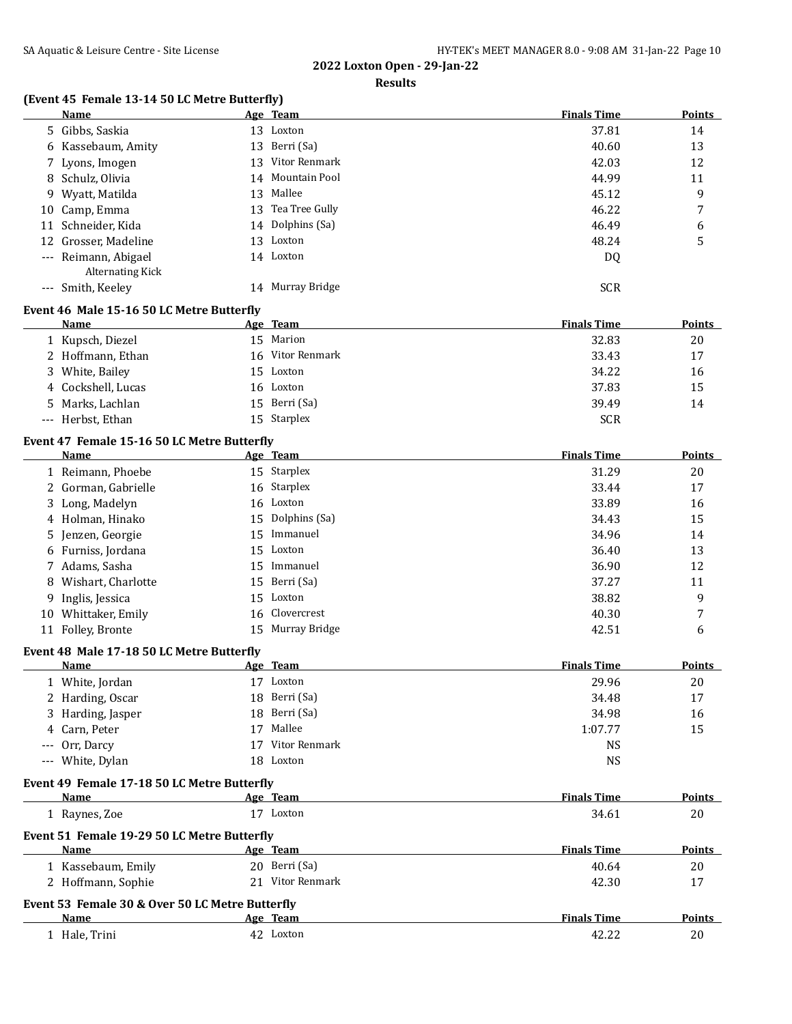#### **Results**

## **(Event 45 Female 13-14 50 LC Metre Butterfly)**

|    | <b>Name</b>                                                                                                                                                                                                                                                                                            |    | Age Team          | <b>Finals Time</b> | <b>Points</b> |
|----|--------------------------------------------------------------------------------------------------------------------------------------------------------------------------------------------------------------------------------------------------------------------------------------------------------|----|-------------------|--------------------|---------------|
|    | 5 Gibbs, Saskia                                                                                                                                                                                                                                                                                        | 13 | Loxton            | 37.81              | 14            |
|    | 6 Kassebaum, Amity                                                                                                                                                                                                                                                                                     | 13 | Berri (Sa)        | 40.60              | 13            |
|    | 7 Lyons, Imogen                                                                                                                                                                                                                                                                                        | 13 | Vitor Renmark     | 42.03              | 12            |
|    | 8 Schulz, Olivia                                                                                                                                                                                                                                                                                       |    | 14 Mountain Pool  | 44.99              | 11            |
|    | 9 Wyatt, Matilda                                                                                                                                                                                                                                                                                       | 13 | Mallee            | 45.12              | 9             |
| 10 | Camp, Emma                                                                                                                                                                                                                                                                                             |    | 13 Tea Tree Gully | 46.22              | 7             |
|    | 11 Schneider, Kida                                                                                                                                                                                                                                                                                     |    | 14 Dolphins (Sa)  | 46.49              | 6             |
|    | 12 Grosser, Madeline                                                                                                                                                                                                                                                                                   |    | 13 Loxton         | 48.24              | 5             |
|    | --- Reimann, Abigael<br><b>Alternating Kick</b>                                                                                                                                                                                                                                                        |    | 14 Loxton         | DQ                 |               |
|    | --- Smith, Keeley                                                                                                                                                                                                                                                                                      | 14 | Murray Bridge     | <b>SCR</b>         |               |
|    | $P_{\text{total}}$ (and $\mathbf{M}$ and $\mathbf{M}$ and $\mathbf{M}$ and $\mathbf{M}$ are $\mathbf{M}$ and $\mathbf{M}$ and $\mathbf{M}$ and $\mathbf{M}$ and $\mathbf{M}$ are $\mathbf{M}$ and $\mathbf{M}$ are $\mathbf{M}$ and $\mathbf{M}$ are $\mathbf{M}$ and $\mathbf{M}$ are $\mathbf{M}$ an |    |                   |                    |               |

#### **Event 46 Male 15-16 50 LC Metre Butterfly**

| Name               | Age Team         | <b>Finals Time</b> | <b>Points</b> |
|--------------------|------------------|--------------------|---------------|
| 1 Kupsch, Diezel   | 15 Marion        | 32.83              | 20            |
| 2 Hoffmann, Ethan  | 16 Vitor Renmark | 33.43              | 17            |
| 3 White, Bailey    | 15 Loxton        | 34.22              | 16            |
| 4 Cockshell, Lucas | 16 Loxton        | 37.83              | 15            |
| 5 Marks, Lachlan   | 15 Berri (Sa)    | 39.49              | 14            |
| --- Herbst, Ethan  | 15 Starplex      | <b>SCR</b>         |               |

#### **Event 47 Female 15-16 50 LC Metre Butterfly**

|    | Name                 | Age Team         | <b>Finals Time</b> | <b>Points</b> |
|----|----------------------|------------------|--------------------|---------------|
|    | 1 Reimann, Phoebe    | 15 Starplex      | 31.29              | 20            |
|    | 2 Gorman, Gabrielle  | 16 Starplex      | 33.44              | 17            |
|    | 3 Long, Madelyn      | 16 Loxton        | 33.89              | 16            |
|    | 4 Holman, Hinako     | 15 Dolphins (Sa) | 34.43              | 15            |
|    | 5 Jenzen, Georgie    | 15 Immanuel      | 34.96              | 14            |
|    | 6 Furniss, Jordana   | 15 Loxton        | 36.40              | 13            |
|    | 7 Adams, Sasha       | 15 Immanuel      | 36.90              | 12            |
|    | 8 Wishart, Charlotte | 15 Berri (Sa)    | 37.27              | 11            |
|    | 9 Inglis, Jessica    | 15 Loxton        | 38.82              | 9             |
| 10 | Whittaker, Emily     | 16 Clovercrest   | 40.30              | $\mathbf{r}$  |
|    | 11 Folley, Bronte    | 15 Murray Bridge | 42.51              | 6             |

#### **Event 48 Male 17-18 50 LC Metre Butterfly**

| <b>Name</b>       |    | Age Team      | <b>Finals Time</b> | <b>Points</b> |
|-------------------|----|---------------|--------------------|---------------|
| 1 White, Jordan   | 17 | Loxton        | 29.96              | 20            |
| 2 Harding, Oscar  |    | 18 Berri (Sa) | 34.48              | 17            |
| 3 Harding, Jasper |    | 18 Berri (Sa) | 34.98              | 16            |
| 4 Carn, Peter     |    | 17 Mallee     | 1:07.77            | 15            |
| --- Orr, Darcy    |    | Vitor Renmark | NS                 |               |
| --- White, Dylan  |    | 18 Loxton     | NS                 |               |

#### **Event 49 Female 17-18 50 LC Metre Butterfly**

| <b>Name</b>                                     | Age Team                                    | <b>Finals Time</b> | <b>Points</b> |  |  |  |  |  |
|-------------------------------------------------|---------------------------------------------|--------------------|---------------|--|--|--|--|--|
| 1 Raynes, Zoe                                   | Loxton                                      | 34.61              | 20            |  |  |  |  |  |
|                                                 | Event 51 Female 19-29 50 LC Metre Butterfly |                    |               |  |  |  |  |  |
| <b>Name</b>                                     | <u>Age Team</u>                             | <b>Finals Time</b> | <b>Points</b> |  |  |  |  |  |
| 1 Kassebaum, Emily                              | 20 Berri (Sa)                               | 40.64              | 20            |  |  |  |  |  |
| 2 Hoffmann, Sophie                              | Vitor Renmark<br>21                         | 42.30              | 17            |  |  |  |  |  |
| Event 53 Female 30 & Over 50 LC Metre Butterfly |                                             |                    |               |  |  |  |  |  |
| Name                                            | Age Team                                    | <b>Finals Time</b> | <b>Points</b> |  |  |  |  |  |
| Hale. Trini                                     | Loxton<br>42.                               | 42.22              | 20            |  |  |  |  |  |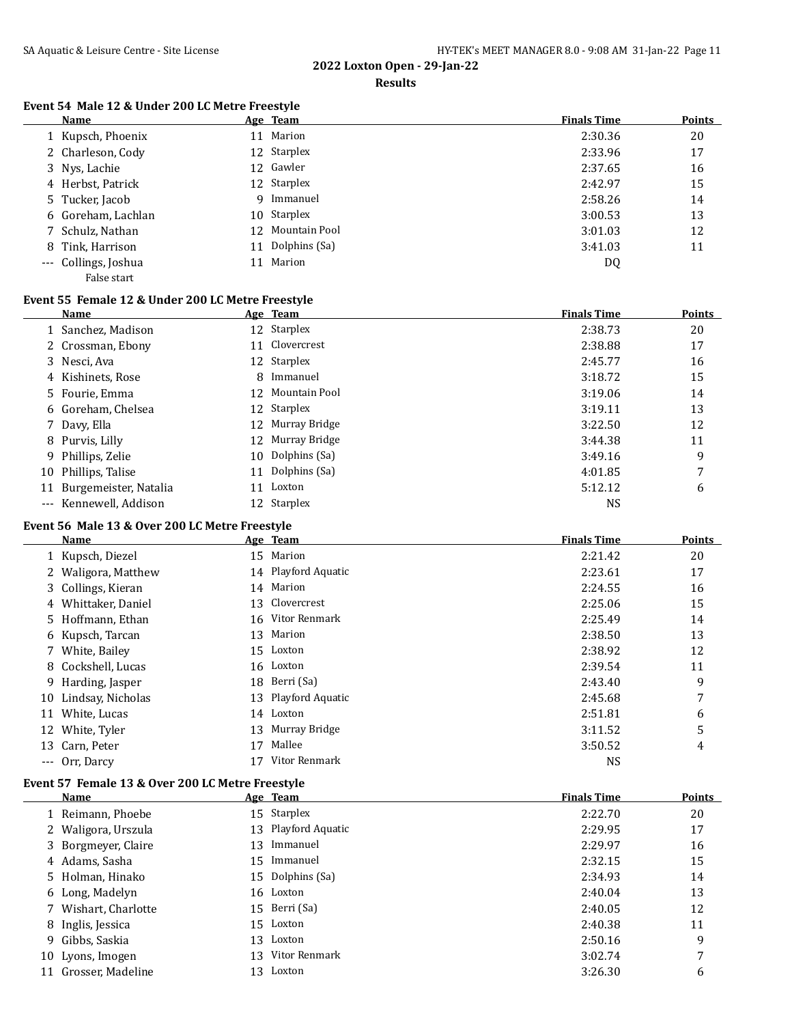**Results**

### **Event 54 Male 12 & Under 200 LC Metre Freestyle**

| Name                 | Age Team         | <b>Finals Time</b> | <b>Points</b> |
|----------------------|------------------|--------------------|---------------|
| 1 Kupsch, Phoenix    | 11 Marion        | 2:30.36            | 20            |
| 2 Charleson, Cody    | 12 Starplex      | 2:33.96            | 17            |
| 3 Nys, Lachie        | 12 Gawler        | 2:37.65            | 16            |
| 4 Herbst, Patrick    | 12 Starplex      | 2:42.97            | 15            |
| 5 Tucker, Jacob      | 9 Immanuel       | 2:58.26            | 14            |
| 6 Goreham, Lachlan   | 10 Starplex      | 3:00.53            | 13            |
| 7 Schulz, Nathan     | 12 Mountain Pool | 3:01.03            | 12            |
| 8 Tink, Harrison     | 11 Dolphins (Sa) | 3:41.03            | 11            |
| --- Collings, Joshua | 11 Marion        | DQ                 |               |
| False start          |                  |                    |               |

## **Event 55 Female 12 & Under 200 LC Metre Freestyle**

|    | Name                   |    | Age Team         | <b>Finals Time</b> | Points |
|----|------------------------|----|------------------|--------------------|--------|
|    | 1 Sanchez, Madison     |    | 12 Starplex      | 2:38.73            | 20     |
|    | 2 Crossman, Ebony      |    | 11 Clovercrest   | 2:38.88            | 17     |
|    | 3 Nesci, Ava           |    | 12 Starplex      | 2:45.77            | 16     |
|    | 4 Kishinets, Rose      | 8  | Immanuel         | 3:18.72            | 15     |
|    | 5 Fourie, Emma         |    | 12 Mountain Pool | 3:19.06            | 14     |
|    | 6 Goreham, Chelsea     |    | 12 Starplex      | 3:19.11            | 13     |
|    | 7 Davy, Ella           |    | 12 Murray Bridge | 3:22.50            | 12     |
|    | 8 Purvis, Lilly        |    | 12 Murray Bridge | 3:44.38            | 11     |
|    | 9 Phillips, Zelie      |    | 10 Dolphins (Sa) | 3:49.16            | 9      |
|    | 10 Phillips, Talise    |    | 11 Dolphins (Sa) | 4:01.85            | 7      |
| 11 | Burgemeister, Natalia  | 11 | Loxton           | 5:12.12            | 6      |
|    | --- Kennewell, Addison |    | 12 Starplex      | NS                 |        |

### **Event 56 Male 13 & Over 200 LC Metre Freestyle**

|    | <b>Name</b>         |    | Age Team            | <b>Finals Time</b> | Points |
|----|---------------------|----|---------------------|--------------------|--------|
|    | 1 Kupsch, Diezel    | 15 | Marion              | 2:21.42            | 20     |
|    | 2 Waligora, Matthew |    | 14 Playford Aquatic | 2:23.61            | 17     |
|    | 3 Collings, Kieran  | 14 | Marion              | 2:24.55            | 16     |
|    | 4 Whittaker, Daniel | 13 | Clovercrest         | 2:25.06            | 15     |
|    | 5 Hoffmann, Ethan   |    | 16 Vitor Renmark    | 2:25.49            | 14     |
|    | 6 Kupsch, Tarcan    | 13 | Marion              | 2:38.50            | 13     |
|    | 7 White, Bailey     |    | 15 Loxton           | 2:38.92            | 12     |
|    | 8 Cockshell, Lucas  |    | 16 Loxton           | 2:39.54            | 11     |
|    | 9 Harding, Jasper   |    | 18 Berri (Sa)       | 2:43.40            | 9      |
| 10 | Lindsay, Nicholas   |    | 13 Playford Aquatic | 2:45.68            | 7      |
| 11 | White, Lucas        |    | 14 Loxton           | 2:51.81            | 6      |
|    | 12 White, Tyler     | 13 | Murray Bridge       | 3:11.52            | 5      |
|    | 13 Carn, Peter      | 17 | Mallee              | 3:50.52            | 4      |
|    | --- Orr, Darcy      |    | Vitor Renmark       | <b>NS</b>          |        |

### **Event 57 Female 13 & Over 200 LC Metre Freestyle**

|    | <b>Name</b>          |    | Age Team            | <b>Finals Time</b> | <b>Points</b> |
|----|----------------------|----|---------------------|--------------------|---------------|
|    | 1 Reimann, Phoebe    |    | 15 Starplex         | 2:22.70            | 20            |
|    | 2 Waligora, Urszula  |    | 13 Playford Aquatic | 2:29.95            | 17            |
|    | 3 Borgmeyer, Claire  | 13 | Immanuel            | 2:29.97            | 16            |
|    | 4 Adams, Sasha       |    | 15 Immanuel         | 2:32.15            | 15            |
|    | 5 Holman, Hinako     |    | 15 Dolphins (Sa)    | 2:34.93            | 14            |
|    | 6 Long, Madelyn      |    | 16 Loxton           | 2:40.04            | 13            |
|    | 7 Wishart, Charlotte |    | 15 Berri (Sa)       | 2:40.05            | 12            |
|    | 8 Inglis, Jessica    |    | 15 Loxton           | 2:40.38            | 11            |
|    | 9 Gibbs, Saskia      | 13 | Loxton              | 2:50.16            | 9             |
|    | 10 Lyons, Imogen     | 13 | Vitor Renmark       | 3:02.74            | 7             |
| 11 | Grosser, Madeline    | 13 | Loxton              | 3:26.30            | 6             |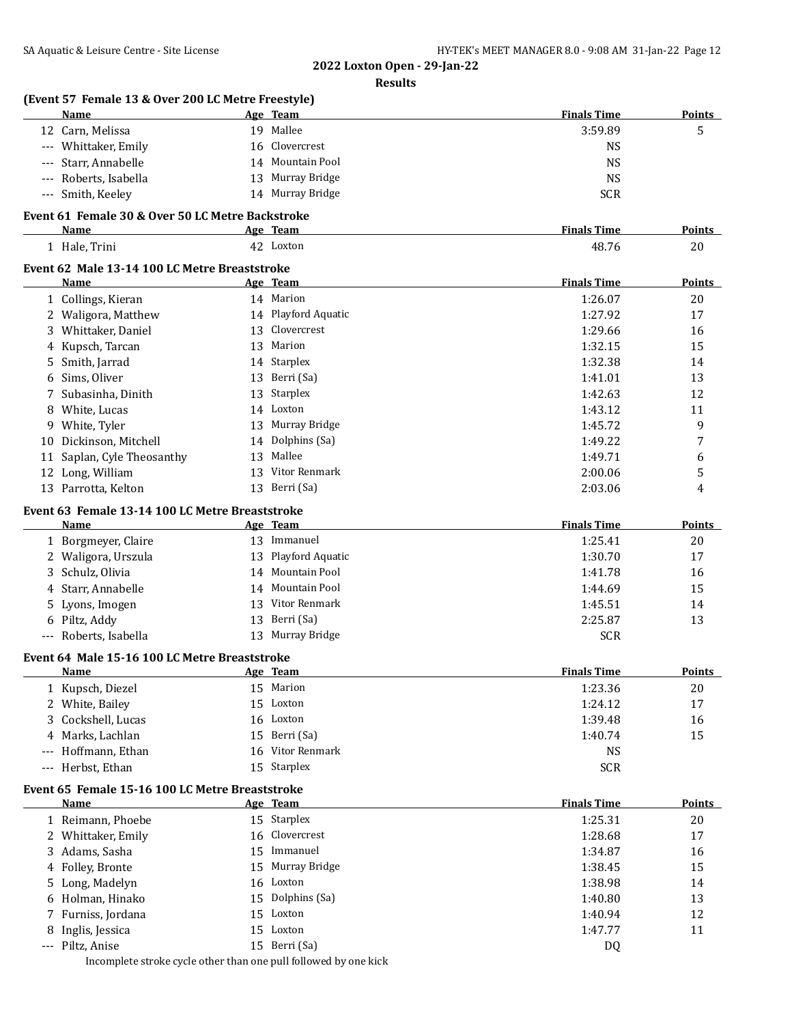|            | (Event 57 Female 13 & Over 200 LC Metre Freestyle)<br>Name |    | Age Team                | <b>Finals Time</b> | <b>Points</b>       |
|------------|------------------------------------------------------------|----|-------------------------|--------------------|---------------------|
|            | 12 Carn, Melissa                                           |    | 19 Mallee               | 3:59.89            | 5                   |
|            | --- Whittaker, Emily                                       |    | 16 Clovercrest          | <b>NS</b>          |                     |
| ---        | Starr, Annabelle                                           |    | 14 Mountain Pool        | <b>NS</b>          |                     |
| $---$      | Roberts, Isabella                                          |    | 13 Murray Bridge        | <b>NS</b>          |                     |
| $\cdots$   | Smith, Keeley                                              |    | 14 Murray Bridge        | <b>SCR</b>         |                     |
|            | Event 61 Female 30 & Over 50 LC Metre Backstroke           |    |                         | <b>Finals Time</b> |                     |
|            | Name<br>1 Hale, Trini                                      |    | Age Team<br>42 Loxton   | 48.76              | <b>Points</b><br>20 |
|            | Event 62 Male 13-14 100 LC Metre Breaststroke              |    |                         |                    |                     |
|            | Name                                                       |    | Age Team                | <b>Finals Time</b> | Points              |
|            | 1 Collings, Kieran                                         |    | 14 Marion               | 1:26.07            | 20                  |
|            | 2 Waligora, Matthew                                        |    | 14 Playford Aquatic     | 1:27.92            | 17                  |
|            | 3 Whittaker, Daniel                                        |    | 13 Clovercrest          | 1:29.66            | 16                  |
| 4          | Kupsch, Tarcan                                             |    | 13 Marion               | 1:32.15            | 15                  |
| 5          | Smith, Jarrad                                              |    | 14 Starplex             | 1:32.38            | 14                  |
| 6          | Sims, Oliver                                               |    | 13 Berri (Sa)           | 1:41.01            | 13                  |
| 7          | Subasinha, Dinith                                          | 13 | Starplex                | 1:42.63            | 12                  |
| 8          | White, Lucas                                               |    | 14 Loxton               | 1:43.12            | 11                  |
|            | 9 White, Tyler                                             |    | 13 Murray Bridge        | 1:45.72            | 9                   |
| 10         | Dickinson, Mitchell                                        |    | 14 Dolphins (Sa)        | 1:49.22            | 7                   |
| 11         | Saplan, Cyle Theosanthy                                    | 13 | Mallee                  | 1:49.71            | 6                   |
|            | 12 Long, William                                           |    | 13 Vitor Renmark        | 2:00.06            | 5                   |
|            | 13 Parrotta, Kelton                                        |    | 13 Berri (Sa)           | 2:03.06            | 4                   |
|            | Event 63 Female 13-14 100 LC Metre Breaststroke            |    |                         |                    |                     |
|            | Name                                                       |    | Age Team                | <b>Finals Time</b> | Points              |
|            | 1 Borgmeyer, Claire                                        |    | 13 Immanuel             | 1:25.41            | 20                  |
|            | 2 Waligora, Urszula                                        |    | 13 Playford Aquatic     | 1:30.70            | 17                  |
| 3          | Schulz, Olivia                                             |    | 14 Mountain Pool        | 1:41.78            | 16                  |
| 4          | Starr, Annabelle                                           |    | 14 Mountain Pool        | 1:44.69            | 15                  |
| 5          | Lyons, Imogen                                              |    | 13 Vitor Renmark        | 1:45.51            | 14                  |
| 6          | Piltz, Addy                                                | 13 | Berri (Sa)              | 2:25.87            | 13                  |
|            | Roberts, Isabella                                          |    | 13 Murray Bridge        | <b>SCR</b>         |                     |
|            | Event 64 Male 15-16 100 LC Metre Breaststroke<br>Name      |    | Age Team                | <b>Finals Time</b> | Points              |
|            | 1 Kupsch, Diezel                                           |    | 15 Marion               | 1:23.36            | 20                  |
|            |                                                            |    | 15 Loxton               |                    |                     |
|            | 2 White, Bailey                                            |    | 16 Loxton               | 1:24.12            | 17                  |
| 3          | Cockshell, Lucas                                           |    | Berri (Sa)              | 1:39.48            | 16                  |
| 4          | Marks, Lachlan                                             | 15 |                         | 1:40.74            | 15                  |
|            | Hoffmann, Ethan                                            | 16 | Vitor Renmark           | <b>NS</b>          |                     |
| $---$      | Herbst, Ethan                                              |    | 15 Starplex             | <b>SCR</b>         |                     |
|            | Event 65 Female 15-16 100 LC Metre Breaststroke<br>Name    |    | Age Team                | <b>Finals Time</b> | <b>Points</b>       |
|            | 1 Reimann, Phoebe                                          |    | 15 Starplex             | 1:25.31            | 20                  |
|            | 2 Whittaker, Emily                                         | 16 | Clovercrest             | 1:28.68            | 17                  |
|            | 3 Adams, Sasha                                             | 15 | Immanuel                | 1:34.87            | 16                  |
| 4          | Folley, Bronte                                             | 15 | Murray Bridge           | 1:38.45            | 15                  |
| 5          | Long, Madelyn                                              | 16 | Loxton                  | 1:38.98            | 14                  |
|            | Holman, Hinako                                             | 15 | Dolphins (Sa)           | 1:40.80            | 13                  |
|            |                                                            |    |                         |                    | 12                  |
| 6          |                                                            |    |                         |                    |                     |
| 7          | Furniss, Jordana                                           | 15 | Loxton                  | 1:40.94            |                     |
| 8<br>$---$ | Inglis, Jessica<br>Piltz, Anise                            | 15 | Loxton<br>15 Berri (Sa) | 1:47.77<br>DQ      | 11                  |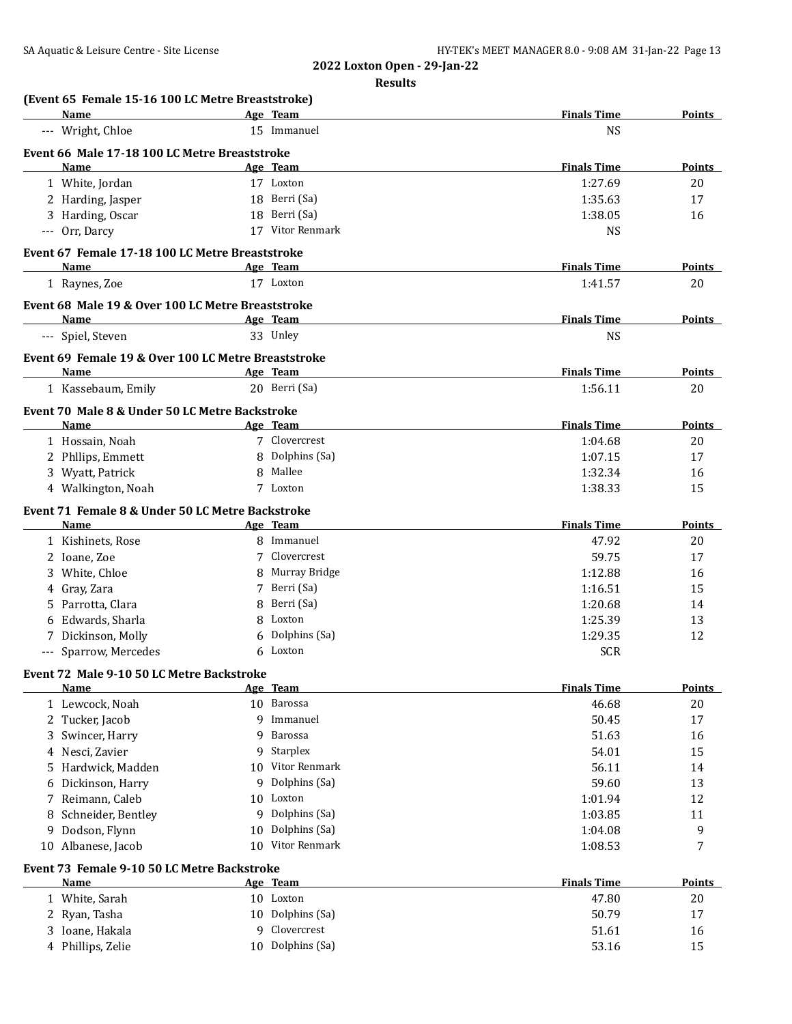| (Event 65 Female 15-16 100 LC Metre Breaststroke)<br>Name | Age Team            | <b>Finals Time</b> | Points        |
|-----------------------------------------------------------|---------------------|--------------------|---------------|
| --- Wright, Chloe                                         | 15 Immanuel         | <b>NS</b>          |               |
| Event 66 Male 17-18 100 LC Metre Breaststroke             |                     |                    |               |
| Name                                                      | Age Team            | <b>Finals Time</b> | <b>Points</b> |
| 1 White, Jordan                                           | 17 Loxton           | 1:27.69            | 20            |
| 2 Harding, Jasper                                         | 18 Berri (Sa)       | 1:35.63            | 17            |
| 3 Harding, Oscar                                          | 18 Berri (Sa)       | 1:38.05            | 16            |
| --- Orr, Darcy                                            | 17 Vitor Renmark    | <b>NS</b>          |               |
|                                                           |                     |                    |               |
| Event 67 Female 17-18 100 LC Metre Breaststroke<br>Name   | Age Team            | <b>Finals Time</b> | <b>Points</b> |
| 1 Raynes, Zoe                                             | 17 Loxton           | 1:41.57            | 20            |
|                                                           |                     |                    |               |
| Event 68 Male 19 & Over 100 LC Metre Breaststroke         |                     |                    |               |
| Name                                                      | Age Team            | <b>Finals Time</b> | Points        |
| --- Spiel, Steven                                         | 33 Unley            | <b>NS</b>          |               |
| Event 69 Female 19 & Over 100 LC Metre Breaststroke       |                     |                    |               |
| Name                                                      | Age Team            | <b>Finals Time</b> | <b>Points</b> |
| 1 Kassebaum, Emily                                        | 20 Berri (Sa)       | 1:56.11            | 20            |
| Event 70 Male 8 & Under 50 LC Metre Backstroke            |                     |                    |               |
| Name                                                      | Age Team            | <b>Finals Time</b> | Points        |
| 1 Hossain, Noah                                           | 7 Clovercrest       | 1:04.68            | 20            |
| 2 Phllips, Emmett                                         | Dolphins (Sa)<br>8  | 1:07.15            | 17            |
| 3 Wyatt, Patrick                                          | Mallee<br>8         | 1:32.34            | 16            |
| 4 Walkington, Noah                                        | 7 Loxton            | 1:38.33            | 15            |
| Event 71 Female 8 & Under 50 LC Metre Backstroke          |                     |                    |               |
| Name                                                      | Age Team            | <b>Finals Time</b> | Points        |
| 1 Kishinets, Rose                                         | 8 Immanuel          | 47.92              | 20            |
| 2 Ioane, Zoe                                              | Clovercrest<br>7    | 59.75              | 17            |
| White, Chloe<br>3                                         | Murray Bridge<br>8  | 1:12.88            | 16            |
| Gray, Zara<br>4                                           | Berri (Sa)<br>7     | 1:16.51            | 15            |
| Parrotta, Clara<br>5.                                     | Berri (Sa)<br>8     | 1:20.68            | 14            |
| Edwards, Sharla<br>6                                      | Loxton<br>8         | 1:25.39            | 13            |
| 7 Dickinson, Molly                                        | Dolphins (Sa)<br>6  | 1:29.35            | 12            |
| --- Sparrow, Mercedes                                     | 6 Loxton            | <b>SCR</b>         |               |
|                                                           |                     |                    |               |
| Event 72 Male 9-10 50 LC Metre Backstroke<br><u>Name</u>  | Age Team            | <b>Finals Time</b> | <b>Points</b> |
| 1 Lewcock, Noah                                           | 10 Barossa          | 46.68              | 20            |
| 2 Tucker, Jacob                                           | 9 Immanuel          | 50.45              | 17            |
| Swincer, Harry<br>3                                       | Barossa<br>9        | 51.63              | 16            |
| Nesci, Zavier<br>4                                        | Starplex<br>9       | 54.01              | 15            |
| Hardwick, Madden<br>5                                     | Vitor Renmark<br>10 | 56.11              | 14            |
| Dickinson, Harry<br>6                                     | Dolphins (Sa)<br>9  | 59.60              | 13            |
| Reimann, Caleb<br>7                                       | Loxton<br>10        | 1:01.94            | 12            |
| Schneider, Bentley<br>8                                   | Dolphins (Sa)<br>9  | 1:03.85            | 11            |
| Dodson, Flynn<br>9                                        | Dolphins (Sa)<br>10 | 1:04.08            | 9             |
| 10 Albanese, Jacob                                        | Vitor Renmark<br>10 | 1:08.53            | 7             |
|                                                           |                     |                    |               |
| Event 73 Female 9-10 50 LC Metre Backstroke               |                     |                    |               |
| Name                                                      | Age Team            | <b>Finals Time</b> | <b>Points</b> |
| 1 White, Sarah                                            | 10 Loxton           | 47.80              | 20            |
| 2<br>Ryan, Tasha                                          | Dolphins (Sa)<br>10 | 50.79              | 17            |
| Ioane, Hakala<br>3                                        | Clovercrest<br>9    | 51.61              | 16            |
| Phillips, Zelie<br>4                                      | Dolphins (Sa)<br>10 | 53.16              | 15            |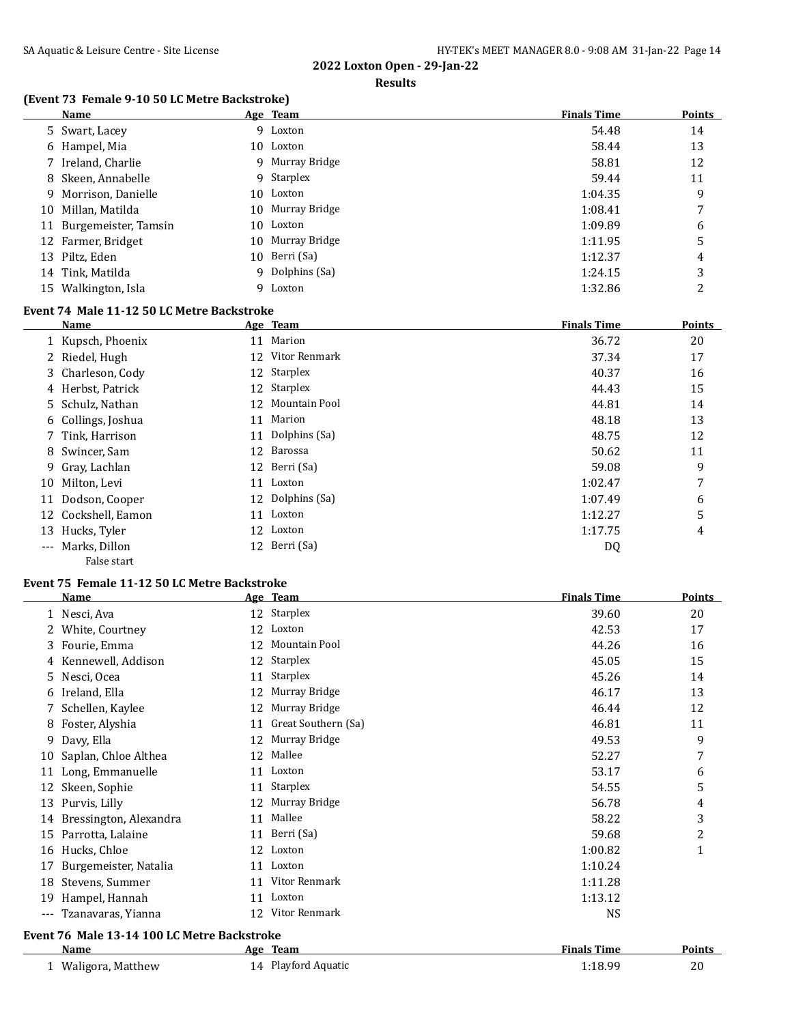#### **Results**

### **(Event 73 Female 9-10 50 LC Metre Backstroke)**

|    | Name                    |    | Age Team         | <b>Finals Time</b> | <b>Points</b> |
|----|-------------------------|----|------------------|--------------------|---------------|
|    | 5 Swart, Lacey          |    | 9 Loxton         | 54.48              | 14            |
|    | 6 Hampel, Mia           |    | 10 Loxton        | 58.44              | 13            |
|    | 7 Ireland, Charlie      |    | 9 Murray Bridge  | 58.81              | 12            |
|    | 8 Skeen, Annabelle      |    | 9 Starplex       | 59.44              | 11            |
|    | 9 Morrison, Danielle    |    | 10 Loxton        | 1:04.35            | 9             |
|    | 10 Millan, Matilda      |    | 10 Murray Bridge | 1:08.41            | 7             |
|    | 11 Burgemeister, Tamsin |    | 10 Loxton        | 1:09.89            | 6             |
|    | 12 Farmer, Bridget      | 10 | Murray Bridge    | 1:11.95            | 5             |
|    | 13 Piltz, Eden          | 10 | Berri (Sa)       | 1:12.37            | 4             |
|    | 14 Tink, Matilda        |    | 9 Dolphins (Sa)  | 1:24.15            | 3             |
| 15 | Walkington, Isla        | 9  | Loxton           | 1:32.86            | C             |

#### **Event 74 Male 11-12 50 LC Metre Backstroke**

|       | Name                |    | Age Team         | <b>Finals Time</b> | <b>Points</b> |
|-------|---------------------|----|------------------|--------------------|---------------|
|       | 1 Kupsch, Phoenix   | 11 | Marion           | 36.72              | 20            |
|       | 2 Riedel, Hugh      | 12 | Vitor Renmark    | 37.34              | 17            |
|       | 3 Charleson, Cody   |    | 12 Starplex      | 40.37              | 16            |
|       | 4 Herbst, Patrick   |    | 12 Starplex      | 44.43              | 15            |
|       | 5 Schulz, Nathan    | 12 | Mountain Pool    | 44.81              | 14            |
|       | 6 Collings, Joshua  | 11 | Marion           | 48.18              | 13            |
|       | 7 Tink, Harrison    |    | 11 Dolphins (Sa) | 48.75              | 12            |
|       | 8 Swincer, Sam      | 12 | Barossa          | 50.62              | 11            |
|       | 9 Gray, Lachlan     |    | 12 Berri (Sa)    | 59.08              | 9             |
| 10    | Milton, Levi        |    | 11 Loxton        | 1:02.47            | 7             |
| 11    | Dodson, Cooper      |    | 12 Dolphins (Sa) | 1:07.49            | 6             |
|       | 12 Cockshell, Eamon |    | 11 Loxton        | 1:12.27            | 5             |
| 13    | Hucks, Tyler        |    | 12 Loxton        | 1:17.75            | 4             |
| $---$ | Marks, Dillon       |    | 12 Berri (Sa)    | DQ                 |               |
|       | False start         |    |                  |                    |               |

#### **Event 75 Female 11-12 50 LC Metre Backstroke**

|                     | <b>Name</b>                                 | <u>Age</u> | <b>Team</b>         | <b>Finals Time</b> | Points |
|---------------------|---------------------------------------------|------------|---------------------|--------------------|--------|
|                     | 1 Nesci, Ava                                | 12         | Starplex            | 39.60              | 20     |
| 2                   | White, Courtney                             | 12         | Loxton              | 42.53              | 17     |
| 3                   | Fourie, Emma                                | 12         | Mountain Pool       | 44.26              | 16     |
| 4                   | Kennewell, Addison                          | 12         | <b>Starplex</b>     | 45.05              | 15     |
| 5.                  | Nesci, Ocea                                 | 11         | Starplex            | 45.26              | 14     |
| 6                   | Ireland, Ella                               | 12         | Murray Bridge       | 46.17              | 13     |
|                     | Schellen, Kaylee                            | 12         | Murray Bridge       | 46.44              | 12     |
| 8                   | Foster, Alyshia                             | 11         | Great Southern (Sa) | 46.81              | 11     |
| 9                   | Davy, Ella                                  | 12         | Murray Bridge       | 49.53              | 9      |
| 10                  | Saplan, Chloe Althea                        | 12         | Mallee              | 52.27              | 7      |
| 11                  | Long, Emmanuelle                            | 11         | Loxton              | 53.17              | 6      |
| 12                  | Skeen, Sophie                               | 11         | Starplex            | 54.55              | 5      |
| 13                  | Purvis, Lilly                               | 12         | Murray Bridge       | 56.78              | 4      |
| 14                  | Bressington, Alexandra                      | 11         | Mallee              | 58.22              | 3      |
| 15                  | Parrotta, Lalaine                           | 11         | Berri (Sa)          | 59.68              | 2      |
| 16                  | Hucks, Chloe                                | 12         | Loxton              | 1:00.82            | 1      |
| 17                  | Burgemeister, Natalia                       | 11         | Loxton              | 1:10.24            |        |
| 18                  | Stevens, Summer                             | 11         | Vitor Renmark       | 1:11.28            |        |
| 19                  | Hampel, Hannah                              | 11         | Loxton              | 1:13.12            |        |
| $\qquad \qquad - -$ | Tzanavaras, Yianna                          | 12         | Vitor Renmark       | <b>NS</b>          |        |
|                     | Event 76 Male 13-14 100 LC Metre Backstroke |            |                     |                    |        |
|                     | Name                                        |            | Age Team            | <b>Finals Time</b> | Points |
|                     | 1 Waligora, Matthew                         |            | 14 Playford Aquatic | 1:18.99            | 20     |